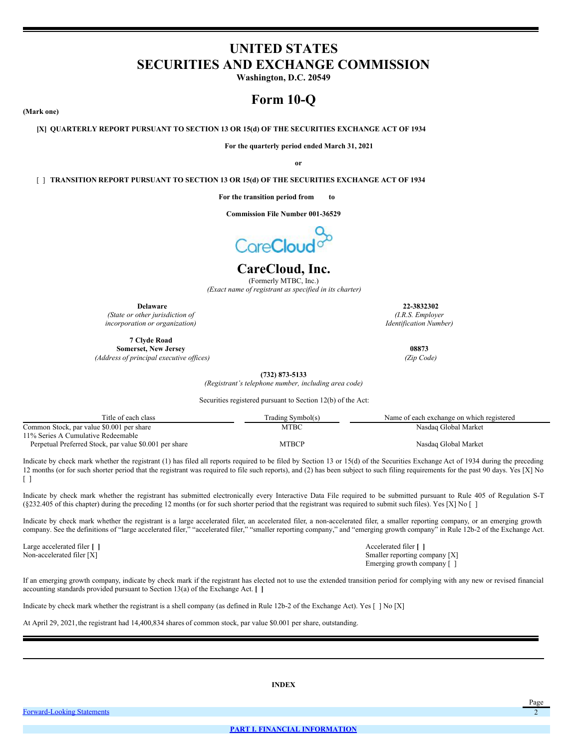# **UNITED STATES SECURITIES AND EXCHANGE COMMISSION**

**Washington, D.C. 20549**

# **Form 10-Q**

**(Mark one)**

**[X] QUARTERLY REPORT PURSUANT TO SECTION 13 OR 15(d) OF THE SECURITIES EXCHANGE ACT OF 1934**

**For the quarterly period ended March 31, 2021**

**or**

[ ] **TRANSITION REPORT PURSUANT TO SECTION 13 OR 15(d) OF THE SECURITIES EXCHANGE ACT OF 1934**

**For the transition period from to**

**Commission File Number 001-36529**



# **CareCloud, Inc.**

(Formerly MTBC, Inc.) *(Exact name of registrant as specified in its charter)*

*(State or other jurisdiction of incorporation or organization)*

**7 Clyde Road Somerset, New Jersey 08873** *(Address of principal executive of ices) (Zip Code)*

**Delaware 22-3832302** *(I.R.S. Employer Identification Number)*

**(732) 873-5133** *(Registrant's telephone number, including area code)*

Securities registered pursuant to Section 12(b) of the Act:

| Title of each class                                    | Trading Symbol(s) | Name of each exchange on which registered |
|--------------------------------------------------------|-------------------|-------------------------------------------|
| Common Stock, par value \$0.001 per share              | MTBC              | Nasdag Global Market                      |
| 11% Series A Cumulative Redeemable                     |                   |                                           |
| Perpetual Preferred Stock, par value \$0.001 per share | МТВСР             | Nasdaq Global Market                      |

Indicate by check mark whether the registrant (1) has filed all reports required to be filed by Section 13 or 15(d) of the Securities Exchange Act of 1934 during the preceding 12 months (or for such shorter period that the registrant was required to file such reports), and (2) has been subject to such filing requirements for the past 90 days. Yes [X] No  $\lceil$   $\rceil$ 

Indicate by check mark whether the registrant has submitted electronically every Interactive Data File required to be submitted pursuant to Rule 405 of Regulation S-T (§232.405 of this chapter) during the preceding 12 months (or for such shorter period that the registrant was required to submit such files). Yes [X] No [ ]

Indicate by check mark whether the registrant is a large accelerated filer, an accelerated filer, a non-accelerated filer, a smaller reporting company, or an emerging growth company. See the definitions of "large accelerated filer," "accelerated filer," "smaller reporting company," and "emerging growth company" in Rule 12b-2 of the Exchange Act.

Large accelerated filer **[ ]** Accelerated filer **[ ]**

Smaller reporting company [X] Emerging growth company [ ]

If an emerging growth company, indicate by check mark if the registrant has elected not to use the extended transition period for complying with any new or revised financial accounting standards provided pursuant to Section 13(a) of the Exchange Act. **[ ]**

Indicate by check mark whether the registrant is a shell company (as defined in Rule 12b-2 of the Exchange Act). Yes [ ] No [X]

At April 29, 2021,the registrant had 14,400,834 shares of common stock, par value \$0.001 per share, outstanding.

**INDEX**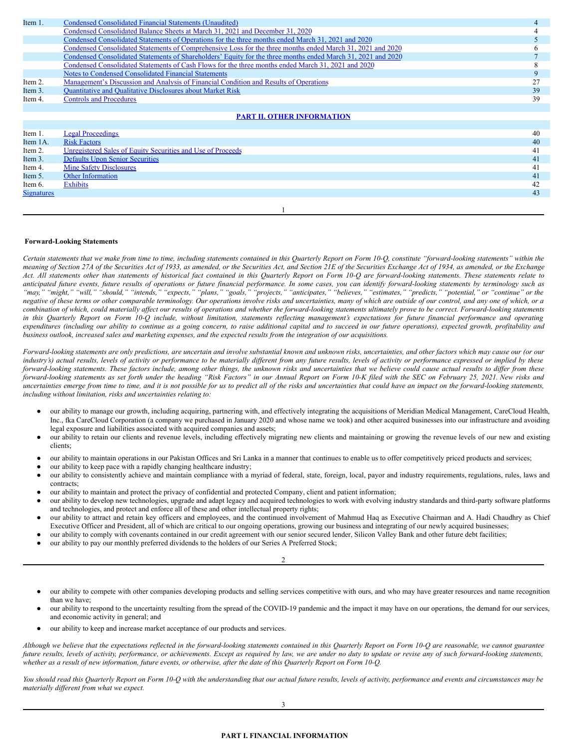| Item 1.  | <b>Condensed Consolidated Financial Statements (Unaudited)</b>                                               | 4  |
|----------|--------------------------------------------------------------------------------------------------------------|----|
|          | Condensed Consolidated Balance Sheets at March 31, 2021 and December 31, 2020                                |    |
|          | Condensed Consolidated Statements of Operations for the three months ended March 31, 2021 and 2020           |    |
|          | Condensed Consolidated Statements of Comprehensive Loss for the three months ended March 31, 2021 and 2020   | O. |
|          | Condensed Consolidated Statements of Shareholders' Equity for the three months ended March 31, 2021 and 2020 |    |
|          | Condensed Consolidated Statements of Cash Flows for the three months ended March 31, 2021 and 2020           | 8  |
|          | Notes to Condensed Consolidated Financial Statements                                                         |    |
| Item 2.  | Management's Discussion and Analysis of Financial Condition and Results of Operations                        | 27 |
| Item 3.  | <b>Quantitative and Qualitative Disclosures about Market Risk</b>                                            | 39 |
| Item 4.  | <b>Controls and Procedures</b>                                                                               | 39 |
|          |                                                                                                              |    |
|          | <b>PART II. OTHER INFORMATION</b>                                                                            |    |
|          |                                                                                                              |    |
| Item 1.  | <b>Legal Proceedings</b>                                                                                     | 40 |
| Item 1A. | <b>Risk Factors</b>                                                                                          | 40 |
| Item 2.  | Unregistered Sales of Equity Securities and Use of Proceeds                                                  | 41 |
| Item 3.  | <b>Defaults Upon Senior Securities</b>                                                                       | 41 |
| Item 4.  | <b>Mine Safety Disclosures</b>                                                                               | 41 |
| Item 5.  | <b>Other Information</b>                                                                                     | 41 |

Item 6.  $\qquad$  [Exhibits](#page-22-4)  $\qquad$  42 [Signatures](#page-23-0) **43** and the contract of the contract of the contract of the contract of the contract of the contract of the contract of the contract of the contract of the contract of the contract of the contract of the contra 1

#### <span id="page-1-0"></span>**Forward-Looking Statements**

Certain statements that we make from time to time, including statements contained in this Quarterly Report on Form 10-Q, constitute "forward-looking statements" within the meaning of Section 27A of the Securities Act of 1933, as amended, or the Securities Act, and Section 21E of the Securities Exchange Act of 1934, as amended, or the Exchange Act. All statements other than statements of historical fact contained in this Quarterly Report on Form 10-Q are forward-looking statements. These statements relate to anticipated future events, future results of operations or future financial performance. In some cases, you can identify forward-looking statements by terminology such as "may," "might," "will," "should," "intends," "expects," "plans," "goals," "projects," "anticipates," "believes," "estimates," "predicts," "potential," or "continue" or the negative of these terms or other comparable terminology. Our operations involve risks and uncertainties, many of which are outside of our control, and any one of which, or a combination of which, could materially affect our results of operations and whether the forward-looking statements ultimately prove to be correct. Forward-looking statements in this Quarterly Report on Form 10-Q include, without limitation, statements reflecting management's expectations for future financial performance and operating expenditures (including our ability to continue as a going concern, to raise additional capital and to succeed in our future operations), expected growth, profitability and business outlook, increased sales and marketing expenses, and the expected results from the integration of our acquisitions.

Forward-looking statements are only predictions, are uncertain and involve substantial known and unknown risks, uncertainties, and other factors which may cause our (or our industry's) actual results, levels of activity or performance to be materially different from any future results, levels of activity or performance expressed or implied by these forward-looking statements. These factors include, among other things, the unknown risks and uncertainties that we believe could cause actual results to differ from these forward-looking statements as set forth under the heading "Risk Factors" in our Annual Report on Form 10-K filed with the SEC on February 25, 2021. New risks and uncertainties emerge from time to time, and it is not possible for us to predict all of the risks and uncertainties that could have an impact on the forward-looking statements, *including without limitation, risks and uncertainties relating to:*

- our ability to manage our growth, including acquiring, partnering with, and effectively integrating the acquisitions of Meridian Medical Management, CareCloud Health, Inc., fka CareCloud Corporation (a company we purchased in January 2020 and whose name we took) and other acquired businesses into our infrastructure and avoiding legal exposure and liabilities associated with acquired companies and assets;
- our ability to retain our clients and revenue levels, including effectively migrating new clients and maintaining or growing the revenue levels of our new and existing clients;
- our ability to maintain operations in our Pakistan Offices and Sri Lanka in a manner that continues to enable us to offer competitively priced products and services;
- our ability to keep pace with a rapidly changing healthcare industry;
- our ability to consistently achieve and maintain compliance with a myriad of federal, state, foreign, local, payor and industry requirements, regulations, rules, laws and contracts;
- our ability to maintain and protect the privacy of confidential and protected Company, client and patient information;
- our ability to develop new technologies, upgrade and adapt legacy and acquired technologies to work with evolving industry standards and third-party software platforms and technologies, and protect and enforce all of these and other intellectual property rights;
- our ability to attract and retain key officers and employees, and the continued involvement of Mahmud Haq as Executive Chairman and A. Hadi Chaudhry as Chief Executive Officer and President, all of which are critical to our ongoing operations, growing our business and integrating of our newly acquired businesses;
- our ability to comply with covenants contained in our credit agreement with our senior secured lender, Silicon Valley Bank and other future debt facilities;
- our ability to pay our monthly preferred dividends to the holders of our Series A Preferred Stock;

| • our ability to compete with other companies developing products and selling services competitive with ours, and who may have greater resources and name recognition |
|-----------------------------------------------------------------------------------------------------------------------------------------------------------------------|
| than we have:                                                                                                                                                         |

<span id="page-1-1"></span>2

- our ability to respond to the uncertainty resulting from the spread of the COVID-19 pandemic and the impact it may have on our operations, the demand for our services, and economic activity in general; and
- our ability to keep and increase market acceptance of our products and services.

Although we believe that the expectations reflected in the forward-looking statements contained in this Quarterly Report on Form 10-Q are reasonable, we cannot guarantee future results, levels of activity, performance, or achievements. Except as required by law, we are under no duty to update or revise any of such forward-looking statements, whether as a result of new information, future events, or otherwise, after the date of this Quarterly Report on Form 10-Q.

You should read this Quarterly Report on Form 10-Q with the understanding that our actual future results, levels of activity, performance and events and circumstances may be *materially dif erent from what we expect.*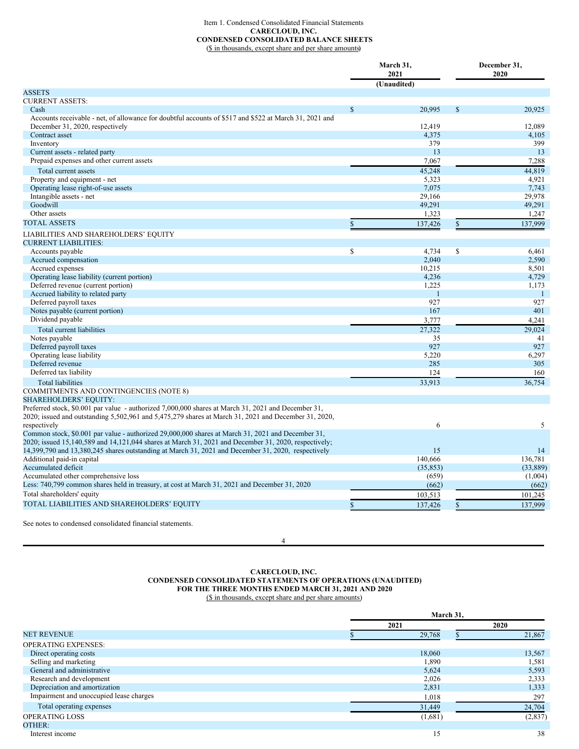# <span id="page-2-0"></span>Item 1. Condensed Consolidated Financial Statements **CARECLOUD, INC. CONDENSED CONSOLIDATED BALANCE SHEETS** (\$ in thousands, except share and per share amounts)

|                                                                                                                                                                                                           |               | March 31,<br>2021 |               | December 31,<br>2020 |
|-----------------------------------------------------------------------------------------------------------------------------------------------------------------------------------------------------------|---------------|-------------------|---------------|----------------------|
|                                                                                                                                                                                                           |               | (Unaudited)       |               |                      |
| <b>ASSETS</b>                                                                                                                                                                                             |               |                   |               |                      |
| <b>CURRENT ASSETS:</b>                                                                                                                                                                                    |               |                   |               |                      |
| Cash                                                                                                                                                                                                      | <sup>\$</sup> | 20.995            | <sup>\$</sup> | 20.925               |
| Accounts receivable - net, of allowance for doubtful accounts of \$517 and \$522 at March 31, 2021 and<br>December 31, 2020, respectively                                                                 |               | 12,419            |               | 12,089               |
| Contract asset                                                                                                                                                                                            |               | 4,375             |               | 4,105                |
| Inventory                                                                                                                                                                                                 |               | 379               |               | 399                  |
| Current assets - related party                                                                                                                                                                            |               | 13                |               | 13                   |
| Prepaid expenses and other current assets                                                                                                                                                                 |               | 7,067             |               | 7,288                |
| Total current assets                                                                                                                                                                                      |               | 45,248            |               | 44,819               |
| Property and equipment - net                                                                                                                                                                              |               | 5,323             |               | 4,921                |
| Operating lease right-of-use assets                                                                                                                                                                       |               | 7,075             |               | 7,743                |
| Intangible assets - net                                                                                                                                                                                   |               | 29.166            |               | 29.978               |
| Goodwill                                                                                                                                                                                                  |               | 49,291            |               | 49,291               |
| Other assets                                                                                                                                                                                              |               | 1,323             |               | 1,247                |
| <b>TOTAL ASSETS</b>                                                                                                                                                                                       | $\mathbb{S}$  | 137,426           |               | 137,999              |
|                                                                                                                                                                                                           |               |                   | $\mathbb{S}$  |                      |
| LIABILITIES AND SHAREHOLDERS' EQUITY<br><b>CURRENT LIABILITIES:</b>                                                                                                                                       |               |                   |               |                      |
| Accounts payable                                                                                                                                                                                          | $\mathbb{S}$  | 4,734             | \$            | 6,461                |
| Accrued compensation                                                                                                                                                                                      |               | 2,040             |               | 2,590                |
| Accrued expenses                                                                                                                                                                                          |               | 10,215            |               | 8,501                |
| Operating lease liability (current portion)                                                                                                                                                               |               | 4,236             |               | 4,729                |
| Deferred revenue (current portion)                                                                                                                                                                        |               | 1,225             |               | 1,173                |
| Accrued liability to related party                                                                                                                                                                        |               | $\mathbf{1}$      |               | $\overline{1}$       |
| Deferred payroll taxes                                                                                                                                                                                    |               | 927               |               | 927                  |
| Notes payable (current portion)                                                                                                                                                                           |               | 167               |               | 401                  |
| Dividend payable                                                                                                                                                                                          |               | 3,777             |               | 4,241                |
| Total current liabilities                                                                                                                                                                                 |               | 27,322            |               | 29.024               |
| Notes payable                                                                                                                                                                                             |               | 35                |               | 41                   |
| Deferred payroll taxes                                                                                                                                                                                    |               | 927               |               | 927                  |
| Operating lease liability                                                                                                                                                                                 |               | 5,220             |               | 6,297                |
| Deferred revenue                                                                                                                                                                                          |               | 285               |               | 305                  |
| Deferred tax liability                                                                                                                                                                                    |               | 124               |               | 160                  |
| Total liabilities                                                                                                                                                                                         |               | 33,913            |               | 36,754               |
| COMMITMENTS AND CONTINGENCIES (NOTE 8)                                                                                                                                                                    |               |                   |               |                      |
| <b>SHAREHOLDERS' EQUITY:</b>                                                                                                                                                                              |               |                   |               |                      |
| Preferred stock, \$0.001 par value - authorized 7,000,000 shares at March 31, 2021 and December 31,                                                                                                       |               |                   |               |                      |
| 2020; issued and outstanding 5,502,961 and 5,475,279 shares at March 31, 2021 and December 31, 2020,                                                                                                      |               |                   |               |                      |
| respectively                                                                                                                                                                                              |               | 6                 |               | 5                    |
| Common stock, \$0.001 par value - authorized 29,000,000 shares at March 31, 2021 and December 31,<br>2020; issued 15,140,589 and 14,121,044 shares at March 31, 2021 and December 31, 2020, respectively; |               |                   |               |                      |
| 14,399,790 and 13,380,245 shares outstanding at March 31, 2021 and December 31, 2020, respectively                                                                                                        |               | 15                |               | 14                   |
| Additional paid-in capital                                                                                                                                                                                |               | 140,666           |               | 136,781              |
| Accumulated deficit                                                                                                                                                                                       |               | (35, 853)         |               | (33,889)             |
| Accumulated other comprehensive loss                                                                                                                                                                      |               | (659)             |               | (1,004)              |
| Less: 740,799 common shares held in treasury, at cost at March 31, 2021 and December 31, 2020                                                                                                             |               | (662)             |               | (662)                |
| Total shareholders' equity                                                                                                                                                                                |               | 103,513           |               | 101.245              |
| TOTAL LIABILITIES AND SHAREHOLDERS' EQUITY                                                                                                                                                                | \$            | 137,426           | \$            | 137,999              |
|                                                                                                                                                                                                           |               |                   |               |                      |

See notes to condensed consolidated financial statements.

4

# <span id="page-2-1"></span>**CARECLOUD, INC. CONDENSED CONSOLIDATED STATEMENTS OF OPERATIONS (UNAUDITED) FOR THE THREE MONTHS ENDED MARCH 31, 2021 AND 2020** (\$ in thousands, except share and per share amounts)

|                                         | March 31. |  |         |  |
|-----------------------------------------|-----------|--|---------|--|
|                                         | 2021      |  | 2020    |  |
| <b>NET REVENUE</b>                      | 29,768    |  | 21,867  |  |
| <b>OPERATING EXPENSES:</b>              |           |  |         |  |
| Direct operating costs                  | 18,060    |  | 13,567  |  |
| Selling and marketing                   | 1,890     |  | 1,581   |  |
| General and administrative              | 5,624     |  | 5,593   |  |
| Research and development                | 2,026     |  | 2,333   |  |
| Depreciation and amortization           | 2,831     |  | 1,333   |  |
| Impairment and unoccupied lease charges | 1,018     |  | 297     |  |
| Total operating expenses                | 31,449    |  | 24,704  |  |
| <b>OPERATING LOSS</b>                   | (1,681)   |  | (2,837) |  |
| OTHER:                                  |           |  |         |  |
| Interest income                         | 15        |  | 38      |  |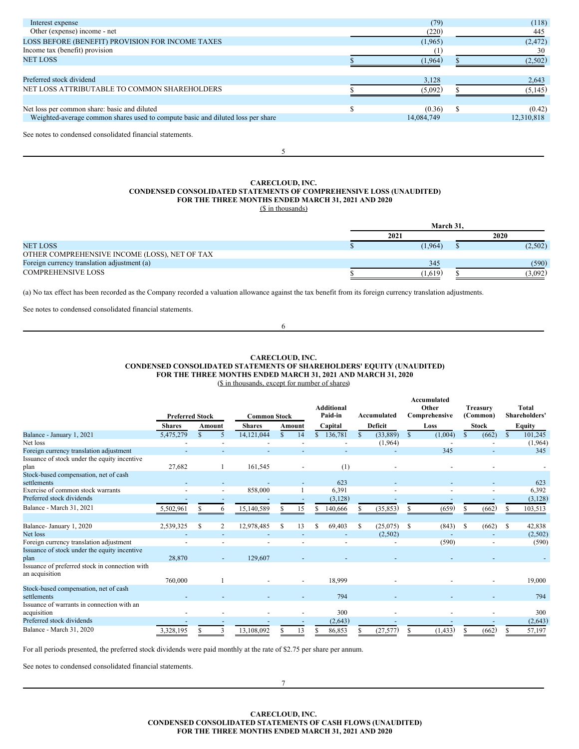| (79)       |    | (118)      |
|------------|----|------------|
| (220)      |    | 445        |
| (1,965)    |    | (2, 472)   |
|            |    | 30         |
| (1.964)    |    | (2,502)    |
|            |    |            |
| 3,128      |    | 2,643      |
| (5,092)    |    | (5, 145)   |
|            |    |            |
| (0.36)     | -S | (0.42)     |
| 14.084.749 |    | 12.310.818 |
|            |    |            |
|            |    |            |
|            |    |            |

# <span id="page-3-0"></span>**CARECLOUD, INC. CONDENSED CONSOLIDATED STATEMENTS OF COMPREHENSIVE LOSS (UNAUDITED) FOR THE THREE MONTHS ENDED MARCH 31, 2021 AND 2020** (\$ in thousands)

5

|                                               | March 31. |  |         |  |  |
|-----------------------------------------------|-----------|--|---------|--|--|
|                                               | 2021      |  | 2020    |  |  |
| <b>NET LOSS</b>                               | (1,964)   |  | (2,502) |  |  |
| OTHER COMPREHENSIVE INCOME (LOSS), NET OF TAX |           |  |         |  |  |
| Foreign currency translation adjustment (a)   | 345       |  | (590)   |  |  |
| <b>COMPREHENSIVE LOSS</b>                     | (1.619)   |  | (3.092) |  |  |

(a) No tax effect has been recorded as the Company recorded a valuation allowance against the tax benefit from its foreign currency translation adjustments.

See notes to condensed consolidated financial statements.

6

## <span id="page-3-1"></span>**CARECLOUD, INC. CONDENSED CONSOLIDATED STATEMENTS OF SHAREHOLDERS' EQUITY (UNAUDITED) FOR THE THREE MONTHS ENDED MARCH 31, 2021 AND MARCH 31, 2020** (\$ in thousands, except for number of shares)

**Accumulated**

|                                                | <b>Preferred Stock</b> |                          | <b>Common Stock</b> |        |     | <b>Additional</b><br>Paid-in | Accumulated |    | личнинаши<br>Other<br>Comprehensive |               | Treasury<br>(Common) |               | <b>Total</b><br>Shareholders' |
|------------------------------------------------|------------------------|--------------------------|---------------------|--------|-----|------------------------------|-------------|----|-------------------------------------|---------------|----------------------|---------------|-------------------------------|
|                                                | <b>Shares</b>          | Amount                   | <b>Shares</b>       | Amount |     | Capital                      | Deficit     |    | Loss                                |               | <b>Stock</b>         |               | <b>Equity</b>                 |
| Balance - January 1, 2021                      | 5,475,279              | 5                        | 14,121,044          | 14     | \$. | 136,781                      | (33, 889)   | S. | (1,004)                             | $\mathcal{S}$ | (662)                | <sup>\$</sup> | 101,245                       |
| Net loss                                       |                        |                          |                     |        |     |                              | (1,964)     |    |                                     |               |                      |               | (1,964)                       |
| Foreign currency translation adjustment        |                        |                          |                     |        |     |                              |             |    | 345                                 |               |                      |               | 345                           |
| Issuance of stock under the equity incentive   |                        |                          |                     |        |     |                              |             |    |                                     |               |                      |               |                               |
| plan                                           | 27,682                 |                          | 161,545             |        |     | (1)                          |             |    |                                     |               |                      |               |                               |
| Stock-based compensation, net of cash          |                        |                          |                     |        |     |                              |             |    |                                     |               |                      |               |                               |
| settlements                                    |                        |                          |                     |        |     | 623                          |             |    |                                     |               |                      |               | 623                           |
| Exercise of common stock warrants              |                        | $\overline{\phantom{a}}$ | 858,000             |        |     | 6,391                        |             |    |                                     |               |                      |               | 6,392                         |
| Preferred stock dividends                      |                        |                          |                     |        |     | (3,128)                      |             |    |                                     |               |                      |               | (3,128)                       |
| Balance - March 31, 2021                       | 5,502,961              | 6                        | 15,140,589          | 15     |     | 140,666                      | (35, 853)   |    | (659)                               |               | (662)                |               | 103,513                       |
|                                                |                        |                          |                     |        |     |                              |             |    |                                     |               |                      |               |                               |
| Balance- January 1, 2020                       | 2,539,325              | $\overline{2}$           | 12,978,485          | 13     |     | 69,403                       | (25,075)    | -S | (843)                               | -S            | (662)                | S             | 42,838                        |
| Net loss                                       |                        |                          |                     |        |     |                              | (2,502)     |    |                                     |               |                      |               | (2,502)                       |
| Foreign currency translation adjustment        |                        |                          |                     |        |     |                              |             |    | (590)                               |               |                      |               | (590)                         |
| Issuance of stock under the equity incentive   |                        |                          |                     |        |     |                              |             |    |                                     |               |                      |               |                               |
| plan                                           | 28,870                 |                          | 129,607             |        |     |                              |             |    |                                     |               |                      |               |                               |
| Issuance of preferred stock in connection with |                        |                          |                     |        |     |                              |             |    |                                     |               |                      |               |                               |
| an acquisition                                 | 760,000                |                          |                     |        |     | 18,999                       |             |    |                                     |               |                      |               | 19,000                        |
| Stock-based compensation, net of cash          |                        |                          |                     |        |     |                              |             |    |                                     |               |                      |               |                               |
| settlements                                    |                        |                          |                     |        |     | 794                          |             |    |                                     |               |                      |               | 794                           |
| Issuance of warrants in connection with an     |                        |                          |                     |        |     |                              |             |    |                                     |               |                      |               |                               |
| acquisition                                    |                        |                          |                     |        |     | 300                          |             |    |                                     |               |                      |               | 300                           |
| Preferred stock dividends                      |                        |                          |                     |        |     | (2,643)                      |             |    |                                     |               |                      |               | (2, 643)                      |
| Balance - March 31, 2020                       | 3,328,195              |                          | 13,108,092          | 13     |     | 86,853                       | (27, 577)   |    | (1, 433)                            |               | (662)                |               | 57,197                        |

For all periods presented, the preferred stock dividends were paid monthly at the rate of \$2.75 per share per annum.

<span id="page-3-2"></span>See notes to condensed consolidated financial statements.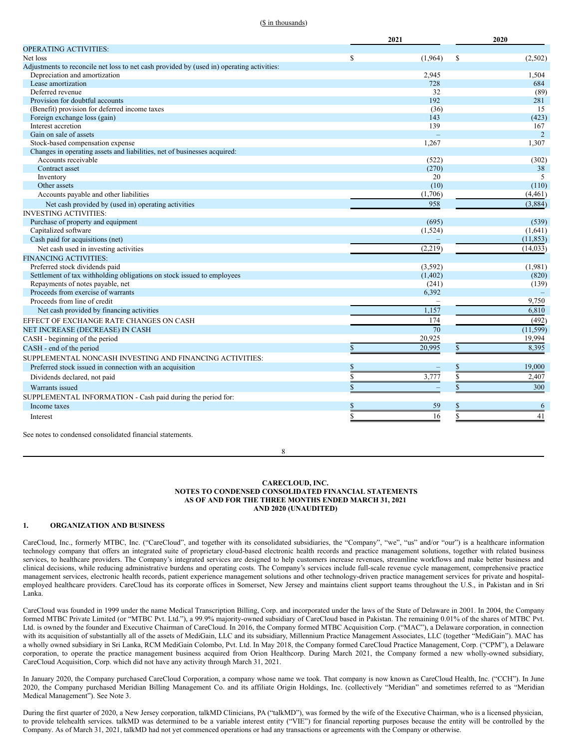#### (\$ in thousands)

|                                                                                           |             | 2021    | 2020 |                |  |
|-------------------------------------------------------------------------------------------|-------------|---------|------|----------------|--|
| <b>OPERATING ACTIVITIES:</b>                                                              |             |         |      |                |  |
| Net loss                                                                                  | S           | (1,964) | \$   | (2,502)        |  |
| Adjustments to reconcile net loss to net cash provided by (used in) operating activities: |             |         |      |                |  |
| Depreciation and amortization                                                             |             | 2,945   |      | 1,504          |  |
| Lease amortization                                                                        |             | 728     |      | 684            |  |
| Deferred revenue                                                                          |             | 32      |      | (89)           |  |
| Provision for doubtful accounts                                                           |             | 192     |      | 281            |  |
| (Benefit) provision for deferred income taxes                                             |             | (36)    |      | 15             |  |
| Foreign exchange loss (gain)                                                              |             | 143     |      | (423)          |  |
| Interest accretion                                                                        |             | 139     |      | 167            |  |
| Gain on sale of assets                                                                    |             |         |      | $\overline{2}$ |  |
| Stock-based compensation expense                                                          |             | 1,267   |      | 1,307          |  |
| Changes in operating assets and liabilities, net of businesses acquired:                  |             |         |      |                |  |
| Accounts receivable                                                                       |             | (522)   |      | (302)          |  |
| Contract asset                                                                            |             | (270)   |      | 38             |  |
| Inventory                                                                                 |             | 20      |      | 5              |  |
| Other assets                                                                              |             | (10)    |      | (110)          |  |
| Accounts payable and other liabilities                                                    |             | (1,706) |      | (4,461)        |  |
| Net cash provided by (used in) operating activities                                       |             | 958     |      | (3,884)        |  |
| <b>INVESTING ACTIVITIES:</b>                                                              |             |         |      |                |  |
| Purchase of property and equipment                                                        |             | (695)   |      | (539)          |  |
| Capitalized software                                                                      |             | (1,524) |      | (1,641)        |  |
| Cash paid for acquisitions (net)                                                          |             |         |      | (11, 853)      |  |
| Net cash used in investing activities                                                     |             | (2,219) |      | (14, 033)      |  |
| <b>FINANCING ACTIVITIES:</b>                                                              |             |         |      |                |  |
| Preferred stock dividends paid                                                            |             | (3,592) |      | (1,981)        |  |
| Settlement of tax withholding obligations on stock issued to employees                    |             | (1,402) |      | (820)          |  |
| Repayments of notes payable, net                                                          |             | (241)   |      | (139)          |  |
| Proceeds from exercise of warrants                                                        |             | 6,392   |      |                |  |
| Proceeds from line of credit                                                              |             |         |      | 9,750          |  |
| Net cash provided by financing activities                                                 |             | 1,157   |      | 6,810          |  |
| EFFECT OF EXCHANGE RATE CHANGES ON CASH                                                   |             | 174     |      | (492)          |  |
| NET INCREASE (DECREASE) IN CASH                                                           |             | 70      |      | (11, 599)      |  |
| CASH - beginning of the period                                                            |             | 20,925  |      | 19,994         |  |
| CASH - end of the period                                                                  | S           | 20.995  | \$   | 8,395          |  |
| SUPPLEMENTAL NONCASH INVESTING AND FINANCING ACTIVITIES:                                  |             |         |      |                |  |
| Preferred stock issued in connection with an acquisition                                  | \$          |         | \$   | 19,000         |  |
| Dividends declared, not paid                                                              | S           | 3,777   | \$   | 2,407          |  |
| Warrants issued                                                                           | $\mathbf S$ |         | \$   | 300            |  |
| SUPPLEMENTAL INFORMATION - Cash paid during the period for:                               |             |         |      |                |  |
| Income taxes                                                                              | \$          | 59      | \$   | 6              |  |
| Interest                                                                                  | S           | 16      | \$   | 41             |  |
|                                                                                           |             |         |      |                |  |

See notes to condensed consolidated financial statements.

8

## <span id="page-4-0"></span>**CARECLOUD, INC. NOTES TO CONDENSED CONSOLIDATED FINANCIAL STATEMENTS AS OF AND FOR THE THREE MONTHS ENDED MARCH 31, 2021 AND 2020 (UNAUDITED)**

# **1. ORGANIZATION AND BUSINESS**

CareCloud, Inc., formerly MTBC, Inc. ("CareCloud", and together with its consolidated subsidiaries, the "Company", "we", "us" and/or "our") is a healthcare information technology company that offers an integrated suite of proprietary cloud-based electronic health records and practice management solutions, together with related business services, to healthcare providers. The Company's integrated services are designed to help customers increase revenues, streamline workflows and make better business and clinical decisions, while reducing administrative burdens and operating costs. The Company's services include full-scale revenue cycle management, comprehensive practice management services, electronic health records, patient experience management solutions and other technology-driven practice management services for private and hospitalemployed healthcare providers. CareCloud has its corporate offices in Somerset, New Jersey and maintains client support teams throughout the U.S., in Pakistan and in Sri Lanka.

CareCloud was founded in 1999 under the name Medical Transcription Billing, Corp. and incorporated under the laws of the State of Delaware in 2001. In 2004, the Company formed MTBC Private Limited (or "MTBC Pvt. Ltd."), a 99.9% majority-owned subsidiary of CareCloud based in Pakistan. The remaining 0.01% of the shares of MTBC Pvt. Ltd. is owned by the founder and Executive Chairman of CareCloud. In 2016, the Company formed MTBC Acquisition Corp. ("MAC"), a Delaware corporation, in connection with its acquisition of substantially all of the assets of MediGain, LLC and its subsidiary, Millennium Practice Management Associates, LLC (together "MediGain"). MAC has a wholly owned subsidiary in Sri Lanka, RCM MediGain Colombo, Pvt. Ltd. In May 2018, the Company formed CareCloud Practice Management, Corp. ("CPM"), a Delaware corporation, to operate the practice management business acquired from Orion Healthcorp. During March 2021, the Company formed a new wholly-owned subsidiary, CareCloud Acquisition, Corp. which did not have any activity through March 31, 2021.

In January 2020, the Company purchased CareCloud Corporation, a company whose name we took. That company is now known as CareCloud Health, Inc. ("CCH"). In June 2020, the Company purchased Meridian Billing Management Co. and its affiliate Origin Holdings, Inc. (collectively "Meridian" and sometimes referred to as "Meridian Medical Management"). See Note 3.

During the first quarter of 2020, a New Jersey corporation, talkMD Clinicians, PA ("talkMD"), was formed by the wife of the Executive Chairman, who is a licensed physician, to provide telehealth services. talkMD was determined to be a variable interest entity ("VIE") for financial reporting purposes because the entity will be controlled by the Company. As of March 31, 2021, talkMD had not yet commenced operations or had any transactions or agreements with the Company or otherwise.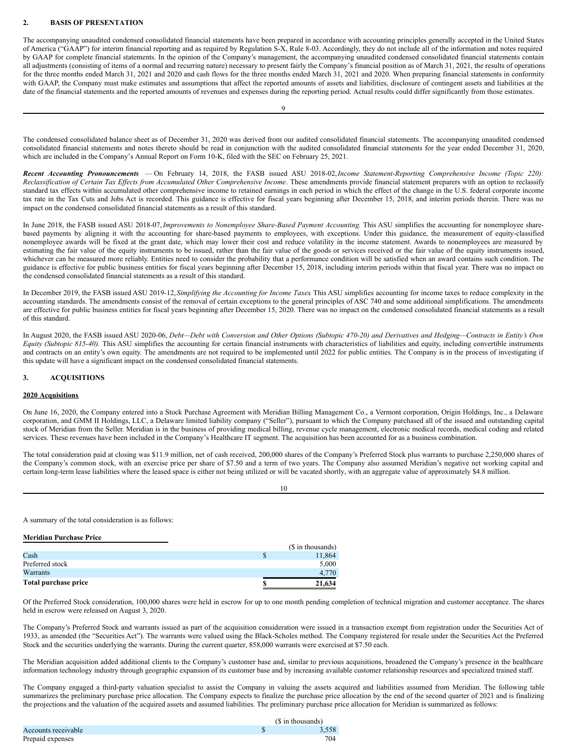# **2. BASIS OF PRESENTATION**

The accompanying unaudited condensed consolidated financial statements have been prepared in accordance with accounting principles generally accepted in the United States of America ("GAAP") for interim financial reporting and as required by Regulation S-X, Rule 8-03. Accordingly, they do not include all of the information and notes required by GAAP for complete financial statements. In the opinion of the Company's management, the accompanying unaudited condensed consolidated financial statements contain all adjustments (consisting of items of a normal and recurring nature) necessary to present fairly the Company's financial position as of March 31, 2021, the results of operations for the three months ended March 31, 2021 and 2020 and cash flows for the three months ended March 31, 2021 and 2020. When preparing financial statements in conformity with GAAP, the Company must make estimates and assumptions that affect the reported amounts of assets and liabilities, disclosure of contingent assets and liabilities at the date of the financial statements and the reported amounts of revenues and expenses during the reporting period. Actual results could differ significantly from those estimates.

The condensed consolidated balance sheet as of December 31, 2020 was derived from our audited consolidated financial statements. The accompanying unaudited condensed consolidated financial statements and notes thereto should be read in conjunction with the audited consolidated financial statements for the year ended December 31, 2020, which are included in the Company's Annual Report on Form 10-K, filed with the SEC on February 25, 2021.

*Recent Accounting Pronouncements* — On February 14, 2018, the FASB issued ASU 2018-02,*Income Statement-Reporting Comprehensive Income (Topic 220):* Reclassification of Certain Tax Effects from Accumulated Other Comprehensive Income. These amendments provide financial statement preparers with an option to reclassify standard tax effects within accumulated other comprehensive income to retained earnings in each period in which the effect of the change in the U.S. federal corporate income tax rate in the Tax Cuts and Jobs Act is recorded. This guidance is effective for fiscal years beginning after December 15, 2018, and interim periods therein. There was no impact on the condensed consolidated financial statements as a result of this standard.

In June 2018, the FASB issued ASU 2018-07,*Improvements to Nonemployee Share-Based Payment Accounting*. This ASU simplifies the accounting for nonemployee sharebased payments by aligning it with the accounting for share-based payments to employees, with exceptions. Under this guidance, the measurement of equity-classified nonemployee awards will be fixed at the grant date, which may lower their cost and reduce volatility in the income statement. Awards to nonemployees are measured by estimating the fair value of the equity instruments to be issued, rather than the fair value of the goods or services received or the fair value of the equity instruments issued, whichever can be measured more reliably. Entities need to consider the probability that a performance condition will be satisfied when an award contains such condition. The guidance is effective for public business entities for fiscal years beginning after December 15, 2018, including interim periods within that fiscal year. There was no impact on the condensed consolidated financial statements as a result of this standard.

In December 2019, the FASB issued ASU 2019-12,*Simplifying the Accounting for Income Taxes*. This ASU simplifies accounting for income taxes to reduce complexity in the accounting standards. The amendments consist of the removal of certain exceptions to the general principles of ASC 740 and some additional simplifications. The amendments are effective for public business entities for fiscal years beginning after December 15, 2020. There was no impact on the condensed consolidated financial statements as a result of this standard.

In August 2020, the FASB issued ASU 2020-06, Debt-Debt with Conversion and Other Options (Subtopic 470-20) and Derivatives and Hedging-Contracts in Entity's Own *Equity (Subtopic 815-40).* This ASU simplifies the accounting for certain financial instruments with characteristics of liabilities and equity, including convertible instruments and contracts on an entity's own equity. The amendments are not required to be implemented until 2022 for public entities. The Company is in the process of investigating if this update will have a significant impact on the condensed consolidated financial statements.

# **3. ACQUISITIONS**

# **2020 Acquisitions**

On June 16, 2020, the Company entered into a Stock Purchase Agreement with Meridian Billing Management Co., a Vermont corporation, Origin Holdings, Inc., a Delaware corporation, and GMM II Holdings, LLC, a Delaware limited liability company ("Seller"), pursuant to which the Company purchased all of the issued and outstanding capital stock of Meridian from the Seller. Meridian is in the business of providing medical billing, revenue cycle management, electronic medical records, medical coding and related services. These revenues have been included in the Company's Healthcare IT segment. The acquisition has been accounted for as a business combination.

The total consideration paid at closing was \$11.9 million, net of cash received, 200,000 shares of the Company's Preferred Stock plus warrants to purchase 2,250,000 shares of the Company's common stock, with an exercise price per share of \$7.50 and a term of two years. The Company also assumed Meridian's negative net working capital and certain long-term lease liabilities where the leased space is either not being utilized or will be vacated shortly, with an aggregate value of approximately \$4.8 million.

10

A summary of the total consideration is as follows:

**Meridian Purchase Price**

|                      |   | (\$ in thousands) |
|----------------------|---|-------------------|
| Cash                 |   | 11,864            |
| Preferred stock      |   | 5.000             |
| Warrants             |   | 4.770             |
| Total purchase price | ¢ | 21,634            |

Of the Preferred Stock consideration, 100,000 shares were held in escrow for up to one month pending completion of technical migration and customer acceptance. The shares held in escrow were released on August 3, 2020.

The Company's Preferred Stock and warrants issued as part of the acquisition consideration were issued in a transaction exempt from registration under the Securities Act of 1933, as amended (the "Securities Act"). The warrants were valued using the Black-Scholes method. The Company registered for resale under the Securities Act the Preferred Stock and the securities underlying the warrants. During the current quarter, 858,000 warrants were exercised at \$7.50 each.

The Meridian acquisition added additional clients to the Company's customer base and, similar to previous acquisitions, broadened the Company's presence in the healthcare information technology industry through geographic expansion of its customer base and by increasing available customer relationship resources and specialized trained staff.

The Company engaged a third-party valuation specialist to assist the Company in valuing the assets acquired and liabilities assumed from Meridian. The following table summarizes the preliminary purchase price allocation. The Company expects to finalize the purchase price allocation by the end of the second quarter of 2021 and is finalizing the projections and the valuation of the acquired assets and assumed liabilities. The preliminary purchase price allocation for Meridian is summarized as follows:

|                     | (\$ in thousands) |
|---------------------|-------------------|
| Accounts receivable | 3.558             |
| Prepaid expenses    | 704               |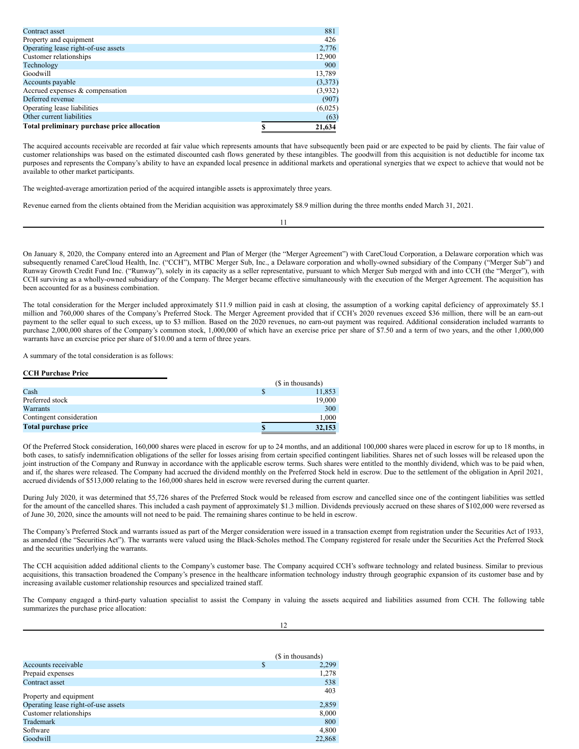| Contract asset                              | 881     |
|---------------------------------------------|---------|
| Property and equipment                      | 426     |
| Operating lease right-of-use assets         | 2,776   |
| Customer relationships                      | 12,900  |
| Technology                                  | 900     |
| Goodwill                                    | 13,789  |
| Accounts payable                            | (3,373) |
| Accrued expenses & compensation             | (3,932) |
| Deferred revenue                            | (907)   |
| Operating lease liabilities                 | (6,025) |
| Other current liabilities                   | (63)    |
| Total preliminary purchase price allocation | 21.634  |

The acquired accounts receivable are recorded at fair value which represents amounts that have subsequently been paid or are expected to be paid by clients. The fair value of customer relationships was based on the estimated discounted cash flows generated by these intangibles. The goodwill from this acquisition is not deductible for income tax purposes and represents the Company's ability to have an expanded local presence in additional markets and operational synergies that we expect to achieve that would not be available to other market participants.

The weighted-average amortization period of the acquired intangible assets is approximately three years.

Revenue earned from the clients obtained from the Meridian acquisition was approximately \$8.9 million during the three months ended March 31, 2021.

On January 8, 2020, the Company entered into an Agreement and Plan of Merger (the "Merger Agreement") with CareCloud Corporation, a Delaware corporation which was subsequently renamed CareCloud Health, Inc. ("CCH"), MTBC Merger Sub, Inc., a Delaware corporation and wholly-owned subsidiary of the Company ("Merger Sub") and Runway Growth Credit Fund Inc. ("Runway"), solely in its capacity as a seller representative, pursuant to which Merger Sub merged with and into CCH (the "Merger"), with CCH surviving as a wholly-owned subsidiary of the Company. The Merger became effective simultaneously with the execution of the Merger Agreement. The acquisition has been accounted for as a business combination.

11

The total consideration for the Merger included approximately \$11.9 million paid in cash at closing, the assumption of a working capital deficiency of approximately \$5.1 million and 760,000 shares of the Company's Preferred Stock. The Merger Agreement provided that if CCH's 2020 revenues exceed \$36 million, there will be an earn-out payment to the seller equal to such excess, up to \$3 million. Based on the 2020 revenues, no earn-out payment was required. Additional consideration included warrants to purchase 2,000,000 shares of the Company's common stock, 1,000,000 of which have an exercise price per share of \$7.50 and a term of two years, and the other 1,000,000 warrants have an exercise price per share of \$10.00 and a term of three years.

A summary of the total consideration is as follows:

# **CCH Purchase Price**

|                             | (\$ in thousands) |
|-----------------------------|-------------------|
| Cash                        | 11,853            |
| Preferred stock             | 19,000            |
| Warrants                    | 300               |
| Contingent consideration    | 1.000             |
| <b>Total purchase price</b> | 32,153            |

Of the Preferred Stock consideration, 160,000 shares were placed in escrow for up to 24 months, and an additional 100,000 shares were placed in escrow for up to 18 months, in both cases, to satisfy indemnification obligations of the seller for losses arising from certain specified contingent liabilities. Shares net of such losses will be released upon the joint instruction of the Company and Runway in accordance with the applicable escrow terms. Such shares were entitled to the monthly dividend, which was to be paid when, and if, the shares were released. The Company had accrued the dividend monthly on the Preferred Stock held in escrow. Due to the settlement of the obligation in April 2021, accrued dividends of \$513,000 relating to the 160,000 shares held in escrow were reversed during the current quarter.

During July 2020, it was determined that 55,726 shares of the Preferred Stock would be released from escrow and cancelled since one of the contingent liabilities was settled for the amount of the cancelled shares. This included a cash payment of approximately \$1.3 million. Dividends previously accrued on these shares of \$102,000 were reversed as of June 30, 2020, since the amounts will not need to be paid. The remaining shares continue to be held in escrow.

The Company's Preferred Stock and warrants issued as part of the Merger consideration were issued in a transaction exempt from registration under the Securities Act of 1933, as amended (the "Securities Act"). The warrants were valued using the Black-Scholes method.The Company registered for resale under the Securities Act the Preferred Stock and the securities underlying the warrants.

The CCH acquisition added additional clients to the Company's customer base. The Company acquired CCH's software technology and related business. Similar to previous acquisitions, this transaction broadened the Company's presence in the healthcare information technology industry through geographic expansion of its customer base and by increasing available customer relationship resources and specialized trained staff.

The Company engaged a third-party valuation specialist to assist the Company in valuing the assets acquired and liabilities assumed from CCH. The following table summarizes the purchase price allocation:

12

|                                     | (\$ in thousands) |        |
|-------------------------------------|-------------------|--------|
| Accounts receivable                 | \$                | 2,299  |
| Prepaid expenses                    |                   | 1,278  |
| Contract asset                      |                   | 538    |
| Property and equipment              |                   | 403    |
| Operating lease right-of-use assets |                   | 2,859  |
| Customer relationships              |                   | 8,000  |
| Trademark                           |                   | 800    |
| Software                            |                   | 4,800  |
| Goodwill                            |                   | 22.868 |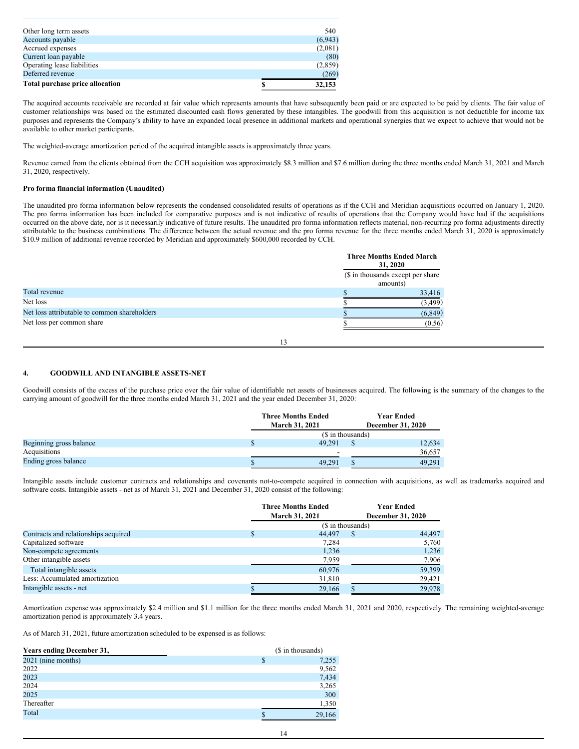| Other long term assets          | 540     |
|---------------------------------|---------|
| Accounts payable                | (6,943) |
| Accrued expenses                | (2,081) |
| Current loan payable            | (80)    |
| Operating lease liabilities     | (2,859) |
| Deferred revenue                | (269)   |
| Total purchase price allocation | 32,153  |

The acquired accounts receivable are recorded at fair value which represents amounts that have subsequently been paid or are expected to be paid by clients. The fair value of customer relationships was based on the estimated discounted cash flows generated by these intangibles. The goodwill from this acquisition is not deductible for income tax purposes and represents the Company's ability to have an expanded local presence in additional markets and operational synergies that we expect to achieve that would not be available to other market participants.

The weighted-average amortization period of the acquired intangible assets is approximately three years.

Revenue earned from the clients obtained from the CCH acquisition was approximately \$8.3 million and \$7.6 million during the three months ended March 31, 2021 and March 31, 2020, respectively.

# **Pro forma financial information (Unaudited)**

The unaudited pro forma information below represents the condensed consolidated results of operations as if the CCH and Meridian acquisitions occurred on January 1, 2020. The pro forma information has been included for comparative purposes and is not indicative of results of operations that the Company would have had if the acquisitions occurred on the above date, nor is it necessarily indicative of future results. The unaudited pro forma information reflects material, non-recurring pro forma adjustments directly attributable to the business combinations. The difference between the actual revenue and the pro forma revenue for the three months ended March 31, 2020 is approximately \$10.9 million of additional revenue recorded by Meridian and approximately \$600,000 recorded by CCH.

|                                              |  | <b>Three Months Ended March</b><br>31, 2020 |                                                |
|----------------------------------------------|--|---------------------------------------------|------------------------------------------------|
| Total revenue                                |  |                                             | (\$ in thousands except per share)<br>amounts) |
|                                              |  |                                             | 33,416                                         |
| Net loss                                     |  |                                             | (3,499)                                        |
| Net loss attributable to common shareholders |  |                                             | (6, 849)                                       |
| Net loss per common share                    |  |                                             | (0.56)                                         |
|                                              |  |                                             |                                                |

# **4. GOODWILL AND INTANGIBLE ASSETS-NET**

Goodwill consists of the excess of the purchase price over the fair value of identifiable net assets of businesses acquired. The following is the summary of the changes to the carrying amount of goodwill for the three months ended March 31, 2021 and the year ended December 31, 2020:

|                         | <b>Three Months Ended</b> |                   | Year Ended               |
|-------------------------|---------------------------|-------------------|--------------------------|
|                         | <b>March 31, 2021</b>     |                   | <b>December 31, 2020</b> |
|                         |                           | (\$ in thousands) |                          |
| Beginning gross balance | 49.291                    |                   | 12,634                   |
| Acquisitions            | $\overline{\phantom{0}}$  |                   | 36,657                   |
| Ending gross balance    | 49.291                    |                   | 49.291                   |

Intangible assets include customer contracts and relationships and covenants not-to-compete acquired in connection with acquisitions, as well as trademarks acquired and software costs. Intangible assets - net as of March 31, 2021 and December 31, 2020 consist of the following:

|                                      | <b>Three Months Ended</b><br><b>March 31, 2021</b> |                   | <b>Year Ended</b><br><b>December 31, 2020</b> |        |
|--------------------------------------|----------------------------------------------------|-------------------|-----------------------------------------------|--------|
|                                      |                                                    | (\$ in thousands) |                                               |        |
| Contracts and relationships acquired | S                                                  | 44,497            | S                                             | 44,497 |
| Capitalized software                 |                                                    | 7.284             |                                               | 5,760  |
| Non-compete agreements               |                                                    | 1,236             |                                               | 1,236  |
| Other intangible assets              |                                                    | 7,959             |                                               | 7,906  |
| Total intangible assets              |                                                    | 60,976            |                                               | 59,399 |
| Less: Accumulated amortization       |                                                    | 31,810            |                                               | 29,421 |
| Intangible assets - net              |                                                    | 29,166            |                                               | 29,978 |

Amortization expense was approximately \$2.4 million and \$1.1 million for the three months ended March 31, 2021 and 2020, respectively. The remaining weighted-average amortization period is approximately 3.4 years.

As of March 31, 2021, future amortization scheduled to be expensed is as follows:

| <b>Years ending December 31,</b> | (\$ in thousands) |
|----------------------------------|-------------------|
| 2021 (nine months)               | 7,255             |
| 2022                             | 9,562             |
| 2023                             | 7,434             |
| 2024                             | 3,265             |
| 2025                             | 300               |
| Thereafter                       | 1,350             |
| Total                            | 29,166            |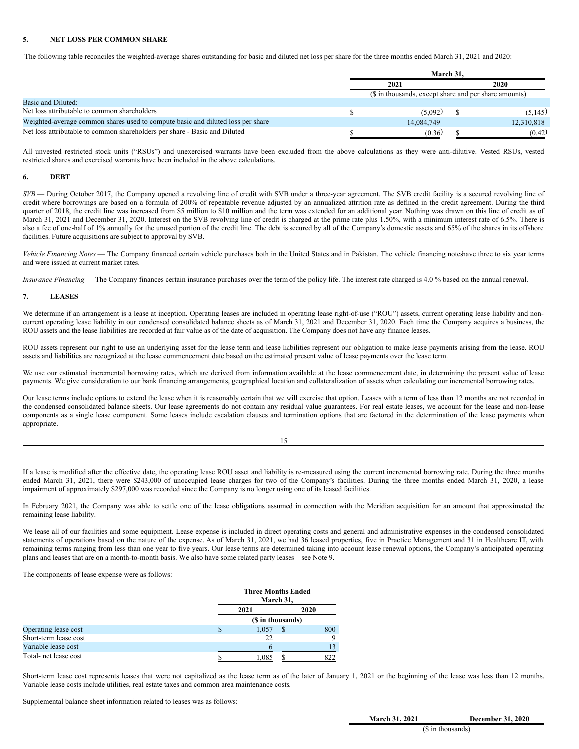# **5. NET LOSS PER COMMON SHARE**

The following table reconciles the weighted-average shares outstanding for basic and diluted net loss per share for the three months ended March 31, 2021 and 2020:

|                                                                                 | March 31.                                             |  |            |  |
|---------------------------------------------------------------------------------|-------------------------------------------------------|--|------------|--|
|                                                                                 | 2021<br>2020                                          |  |            |  |
|                                                                                 | (\$ in thousands, except share and per share amounts) |  |            |  |
| Basic and Diluted:                                                              |                                                       |  |            |  |
| Net loss attributable to common shareholders                                    | (5.092)                                               |  | (5.145)    |  |
| Weighted-average common shares used to compute basic and diluted loss per share | 14.084.749                                            |  | 12.310.818 |  |
| Net loss attributable to common shareholders per share - Basic and Diluted      | (0.36)                                                |  | (0.42)     |  |

All unvested restricted stock units ("RSUs") and unexercised warrants have been excluded from the above calculations as they were anti-dilutive. Vested RSUs, vested restricted shares and exercised warrants have been included in the above calculations.

## **6. DEBT**

*SVB* — During October 2017, the Company opened a revolving line of credit with SVB under a three-year agreement. The SVB credit facility is a secured revolving line of credit where borrowings are based on a formula of 200% of repeatable revenue adjusted by an annualized attrition rate as defined in the credit agreement. During the third quarter of 2018, the credit line was increased from \$5 million to \$10 million and the term was extended for an additional year. Nothing was drawn on this line of credit as of March 31, 2021 and December 31, 2020. Interest on the SVB revolving line of credit is charged at the prime rate plus 1.50%, with a minimum interest rate of 6.5%. There is also a fee of one-half of 1% annually for the unused portion of the credit line. The debt is secured by all of the Company's domestic assets and 65% of the shares in its offshore facilities. Future acquisitions are subject to approval by SVB.

*Vehicle Financing Notes* — The Company financed certain vehicle purchases both in the United States and in Pakistan. The vehicle financing noteshave three to six year terms and were issued at current market rates.

*Insurance Financing* — The Company finances certain insurance purchases over the term of the policy life. The interest rate charged is 4.0 % based on the annual renewal.

#### **7. LEASES**

We determine if an arrangement is a lease at inception. Operating leases are included in operating lease right-of-use ("ROU") assets, current operating lease liability and noncurrent operating lease liability in our condensed consolidated balance sheets as of March 31, 2021 and December 31, 2020. Each time the Company acquires a business, the ROU assets and the lease liabilities are recorded at fair value as of the date of acquisition. The Company does not have any finance leases.

ROU assets represent our right to use an underlying asset for the lease term and lease liabilities represent our obligation to make lease payments arising from the lease. ROU assets and liabilities are recognized at the lease commencement date based on the estimated present value of lease payments over the lease term.

We use our estimated incremental borrowing rates, which are derived from information available at the lease commencement date, in determining the present value of lease payments. We give consideration to our bank financing arrangements, geographical location and collateralization of assets when calculating our incremental borrowing rates.

Our lease terms include options to extend the lease when it is reasonably certain that we will exercise that option. Leases with a term of less than 12 months are not recorded in the condensed consolidated balance sheets. Our lease agreements do not contain any residual value guarantees. For real estate leases, we account for the lease and non-lease components as a single lease component. Some leases include escalation clauses and termination options that are factored in the determination of the lease payments when appropriate.

15

If a lease is modified after the effective date, the operating lease ROU asset and liability is re-measured using the current incremental borrowing rate. During the three months ended March 31, 2021, there were \$243,000 of unoccupied lease charges for two of the Company's facilities. During the three months ended March 31, 2020, a lease impairment of approximately \$297,000 was recorded since the Company is no longer using one of its leased facilities.

In February 2021, the Company was able to settle one of the lease obligations assumed in connection with the Meridian acquisition for an amount that approximated the remaining lease liability.

We lease all of our facilities and some equipment. Lease expense is included in direct operating costs and general and administrative expenses in the condensed consolidated statements of operations based on the nature of the expense. As of March 31, 2021, we had 36 leased properties, five in Practice Management and 31 in Healthcare IT, with remaining terms ranging from less than one year to five years. Our lease terms are determined taking into account lease renewal options, the Company's anticipated operating plans and leases that are on a month-to-month basis. We also have some related party leases – see Note 9.

The components of lease expense were as follows:

|                       |   | <b>Three Months Ended</b><br>March 31, |          |      |  |
|-----------------------|---|----------------------------------------|----------|------|--|
|                       |   | 2021                                   |          | 2020 |  |
|                       |   | (\$ in thousands)                      |          |      |  |
| Operating lease cost  | S | 1.057                                  | <b>S</b> | 800  |  |
| Short-term lease cost |   | 22                                     |          |      |  |
| Variable lease cost   |   | 6                                      |          |      |  |
| Total-net lease cost  |   | 1.085                                  |          | 822  |  |

Short-term lease cost represents leases that were not capitalized as the lease term as of the later of January 1, 2021 or the beginning of the lease was less than 12 months. Variable lease costs include utilities, real estate taxes and common area maintenance costs.

Supplemental balance sheet information related to leases was as follows: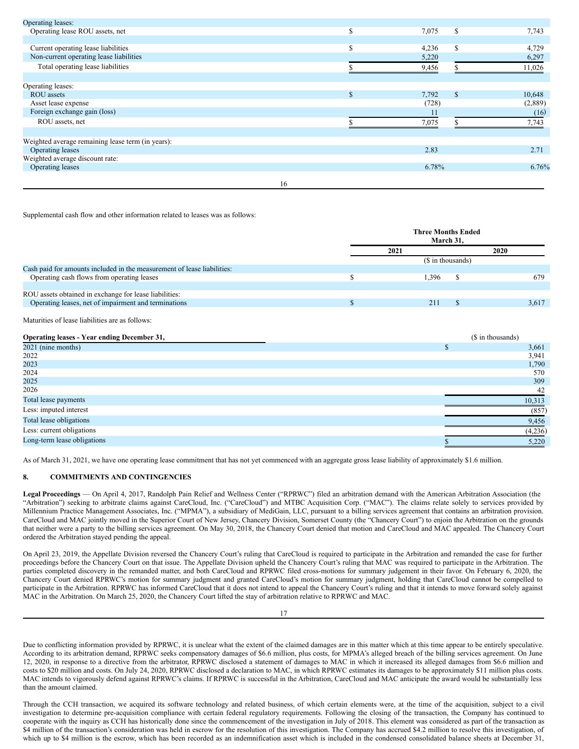| Operating leases:                                 |    |             |               |         |
|---------------------------------------------------|----|-------------|---------------|---------|
| Operating lease ROU assets, net                   |    | \$<br>7,075 | S             | 7,743   |
|                                                   |    |             |               |         |
| Current operating lease liabilities               |    | \$<br>4,236 | S             | 4,729   |
| Non-current operating lease liabilities           |    | 5,220       |               | 6,297   |
| Total operating lease liabilities                 |    | 9,456       |               | 11,026  |
|                                                   |    |             |               |         |
| Operating leases:                                 |    |             |               |         |
| <b>ROU</b> assets                                 |    | \$<br>7,792 | <sup>\$</sup> | 10,648  |
| Asset lease expense                               |    | (728)       |               | (2,889) |
| Foreign exchange gain (loss)                      |    | 11          |               | (16)    |
| ROU assets, net                                   |    | 7,075       |               | 7,743   |
|                                                   |    |             |               |         |
| Weighted average remaining lease term (in years): |    |             |               |         |
| Operating leases                                  |    | 2.83        |               | 2.71    |
| Weighted average discount rate:                   |    |             |               |         |
| Operating leases                                  |    | 6.78%       |               | 6.76%   |
|                                                   |    |             |               |         |
|                                                   | 16 |             |               |         |

Supplemental cash flow and other information related to leases was as follows:

|                                                                         | <b>Three Months Ended</b><br>March 31. |                   |  |      |       |
|-------------------------------------------------------------------------|----------------------------------------|-------------------|--|------|-------|
|                                                                         | 2021                                   |                   |  | 2020 |       |
|                                                                         |                                        | (\$ in thousands) |  |      |       |
| Cash paid for amounts included in the measurement of lease liabilities: |                                        |                   |  |      |       |
| Operating cash flows from operating leases                              |                                        | 1.396             |  |      | 679   |
|                                                                         |                                        |                   |  |      |       |
| ROU assets obtained in exchange for lease liabilities:                  |                                        |                   |  |      |       |
| Operating leases, net of impairment and terminations                    |                                        | 21.               |  |      | 3,617 |

Maturities of lease liabilities are as follows:

# **Operating leases - Year ending December 31,** (\$ in thousands)

| Operating reases - I can enting December 31, | (c) in ununsailus) |
|----------------------------------------------|--------------------|
| 2021 (nine months)                           | 3,661              |
| 2022                                         | 3,941              |
| 2023                                         | 1,790              |
| 2024                                         | 570                |
| 2025                                         | 309                |
| 2026                                         | 42                 |
| Total lease payments                         | 10,313             |
| Less: imputed interest                       | (857)              |
| Total lease obligations                      | 9,456              |
| Less: current obligations                    | (4,236)            |
| Long-term lease obligations                  | 5,220              |
|                                              |                    |

As of March 31, 2021, we have one operating lease commitment that has not yet commenced with an aggregate gross lease liability of approximately \$1.6 million.

# **8. COMMITMENTS AND CONTINGENCIES**

**Legal Proceedings** — On April 4, 2017, Randolph Pain Relief and Wellness Center ("RPRWC") filed an arbitration demand with the American Arbitration Association (the "Arbitration") seeking to arbitrate claims against CareCloud, Inc. ("CareCloud") and MTBC Acquisition Corp. ("MAC"). The claims relate solely to services provided by Millennium Practice Management Associates, Inc. ("MPMA"), a subsidiary of MediGain, LLC, pursuant to a billing services agreement that contains an arbitration provision. CareCloud and MAC jointly moved in the Superior Court of New Jersey, Chancery Division, Somerset County (the "Chancery Court") to enjoin the Arbitration on the grounds that neither were a party to the billing services agreement. On May 30, 2018, the Chancery Court denied that motion and CareCloud and MAC appealed. The Chancery Court ordered the Arbitration stayed pending the appeal.

On April 23, 2019, the Appellate Division reversed the Chancery Court's ruling that CareCloud is required to participate in the Arbitration and remanded the case for further proceedings before the Chancery Court on that issue. The Appellate Division upheld the Chancery Court's ruling that MAC was required to participate in the Arbitration. The parties completed discovery in the remanded matter, and both CareCloud and RPRWC filed cross-motions for summary judgement in their favor. On February 6, 2020, the Chancery Court denied RPRWC's motion for summary judgment and granted CareCloud's motion for summary judgment, holding that CareCloud cannot be compelled to participate in the Arbitration. RPRWC has informed CareCloud that it does not intend to appeal the Chancery Court's ruling and that it intends to move forward solely against MAC in the Arbitration. On March 25, 2020, the Chancery Court lifted the stay of arbitration relative to RPRWC and MAC.

Due to conflicting information provided by RPRWC, it is unclear what the extent of the claimed damages are in this matter which at this time appear to be entirely speculative. According to its arbitration demand, RPRWC seeks compensatory damages of \$6.6 million, plus costs, for MPMA's alleged breach of the billing services agreement. On June 12, 2020, in response to a directive from the arbitrator, RPRWC disclosed a statement of damages to MAC in which it increased its alleged damages from \$6.6 million and costs to \$20 million and costs. On July 24, 2020, RPRWC disclosed a declaration to MAC, in which RPRWC estimates its damages to be approximately \$11 million plus costs. MAC intends to vigorously defend against RPRWC's claims. If RPRWC is successful in the Arbitration, CareCloud and MAC anticipate the award would be substantially less than the amount claimed.

Through the CCH transaction, we acquired its software technology and related business, of which certain elements were, at the time of the acquisition, subject to a civil investigation to determine pre-acquisition compliance with certain federal regulatory requirements. Following the closing of the transaction, the Company has continued to cooperate with the inquiry as CCH has historically done since the commencement of the investigation in July of 2018. This element was considered as part of the transaction as \$4 million of the transaction's consideration was held in escrow for the resolution of this investigation. The Company has accrued \$4.2 million to resolve this investigation, of which up to \$4 million is the escrow, which has been recorded as an indemnification asset which is included in the condensed consolidated balance sheets at December 31,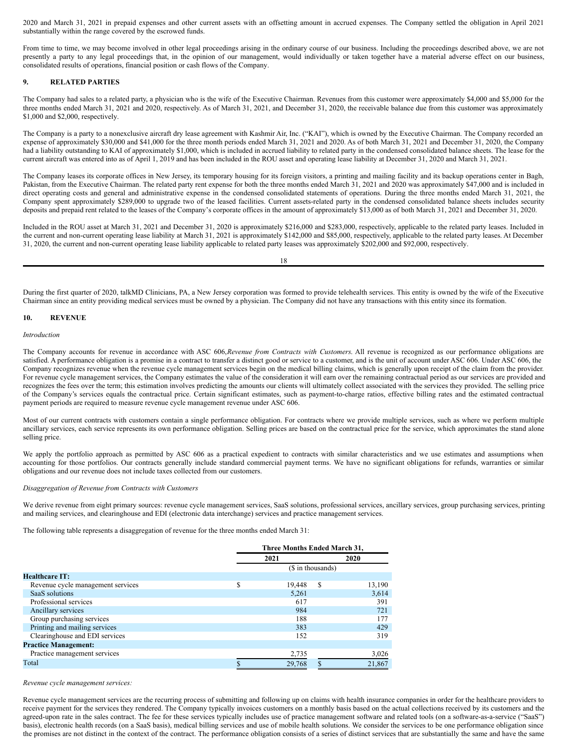2020 and March 31, 2021 in prepaid expenses and other current assets with an offsetting amount in accrued expenses. The Company settled the obligation in April 2021 substantially within the range covered by the escrowed funds.

From time to time, we may become involved in other legal proceedings arising in the ordinary course of our business. Including the proceedings described above, we are not presently a party to any legal proceedings that, in the opinion of our management, would individually or taken together have a material adverse effect on our business, consolidated results of operations, financial position or cash flows of the Company.

## **9. RELATED PARTIES**

The Company had sales to a related party, a physician who is the wife of the Executive Chairman. Revenues from this customer were approximately \$4,000 and \$5,000 for the three months ended March 31, 2021 and 2020, respectively. As of March 31, 2021, and December 31, 2020, the receivable balance due from this customer was approximately \$1,000 and \$2,000, respectively.

The Company is a party to a nonexclusive aircraft dry lease agreement with Kashmir Air, Inc. ("KAI"), which is owned by the Executive Chairman. The Company recorded an expense of approximately \$30,000 and \$41,000 for the three month periods ended March 31, 2021 and 2020. As of both March 31, 2021 and December 31, 2020, the Company had a liability outstanding to KAI of approximately \$1,000, which is included in accrued liability to related party in the condensed consolidated balance sheets. The lease for the current aircraft was entered into as of April 1, 2019 and has been included in the ROU asset and operating lease liability at December 31, 2020 and March 31, 2021.

The Company leases its corporate offices in New Jersey, its temporary housing for its foreign visitors, a printing and mailing facility and its backup operations center in Bagh, Pakistan, from the Executive Chairman. The related party rent expense for both the three months ended March 31, 2021 and 2020 was approximately \$47,000 and is included in direct operating costs and general and administrative expense in the condensed consolidated statements of operations. During the three months ended March 31, 2021, the Company spent approximately \$289,000 to upgrade two of the leased facilities. Current assets-related party in the condensed consolidated balance sheets includes security deposits and prepaid rent related to the leases of the Company's corporate offices in the amount of approximately \$13,000 as of both March 31, 2021 and December 31, 2020.

Included in the ROU asset at March 31, 2021 and December 31, 2020 is approximately \$216,000 and \$283,000, respectively, applicable to the related party leases. Included in the current and non-current operating lease liability at March 31, 2021 is approximately \$142,000 and \$85,000, respectively, applicable to the related party leases. At December 31, 2020, the current and non-current operating lease liability applicable to related party leases was approximately \$202,000 and \$92,000, respectively.

18

During the first quarter of 2020, talkMD Clinicians, PA, a New Jersey corporation was formed to provide telehealth services. This entity is owned by the wife of the Executive Chairman since an entity providing medical services must be owned by a physician. The Company did not have any transactions with this entity since its formation.

## **10. REVENUE**

#### *Introduction*

The Company accounts for revenue in accordance with ASC 606,*Revenue from Contracts with Customers*. All revenue is recognized as our performance obligations are satisfied. A performance obligation is a promise in a contract to transfer a distinct good or service to a customer, and is the unit of account under ASC 606. Under ASC 606, the Company recognizes revenue when the revenue cycle management services begin on the medical billing claims, which is generally upon receipt of the claim from the provider. For revenue cycle management services, the Company estimates the value of the consideration it will earn over the remaining contractual period as our services are provided and recognizes the fees over the term; this estimation involves predicting the amounts our clients will ultimately collect associated with the services they provided. The selling price of the Company's services equals the contractual price. Certain significant estimates, such as payment-to-charge ratios, effective billing rates and the estimated contractual payment periods are required to measure revenue cycle management revenue under ASC 606.

Most of our current contracts with customers contain a single performance obligation. For contracts where we provide multiple services, such as where we perform multiple ancillary services, each service represents its own performance obligation. Selling prices are based on the contractual price for the service, which approximates the stand alone selling price.

We apply the portfolio approach as permitted by ASC 606 as a practical expedient to contracts with similar characteristics and we use estimates and assumptions when accounting for those portfolios. Our contracts generally include standard commercial payment terms. We have no significant obligations for refunds, warranties or similar obligations and our revenue does not include taxes collected from our customers.

#### *Disaggregation of Revenue from Contracts with Customers*

We derive revenue from eight primary sources: revenue cycle management services, SaaS solutions, professional services, ancillary services, group purchasing services, printing and mailing services, and clearinghouse and EDI (electronic data interchange) services and practice management services.

The following table represents a disaggregation of revenue for the three months ended March 31:

|                                   |   | Three Months Ended March 31, |   |        |  |  |
|-----------------------------------|---|------------------------------|---|--------|--|--|
|                                   |   | 2021                         |   | 2020   |  |  |
|                                   |   | (\$ in thousands)            |   |        |  |  |
| <b>Healthcare IT:</b>             |   |                              |   |        |  |  |
| Revenue cycle management services | S | 19,448                       | S | 13,190 |  |  |
| SaaS solutions                    |   | 5,261                        |   | 3,614  |  |  |
| Professional services             |   | 617                          |   | 391    |  |  |
| Ancillary services                |   | 984                          |   | 721    |  |  |
| Group purchasing services         |   | 188                          |   | 177    |  |  |
| Printing and mailing services     |   | 383                          |   | 429    |  |  |
| Clearinghouse and EDI services    |   | 152                          |   | 319    |  |  |
| <b>Practice Management:</b>       |   |                              |   |        |  |  |
| Practice management services      |   | 2,735                        |   | 3,026  |  |  |
| Total                             |   | 29.768                       |   | 21.867 |  |  |

*Revenue cycle management services:*

Revenue cycle management services are the recurring process of submitting and following up on claims with health insurance companies in order for the healthcare providers to receive payment for the services they rendered. The Company typically invoices customers on a monthly basis based on the actual collections received by its customers and the agreed-upon rate in the sales contract. The fee for these services typically includes use of practice management software and related tools (on a software-as-a-service ("SaaS") basis), electronic health records (on a SaaS basis), medical billing services and use of mobile health solutions. We consider the services to be one performance obligation since the promises are not distinct in the context of the contract. The performance obligation consists of a series of distinct services that are substantially the same and have the same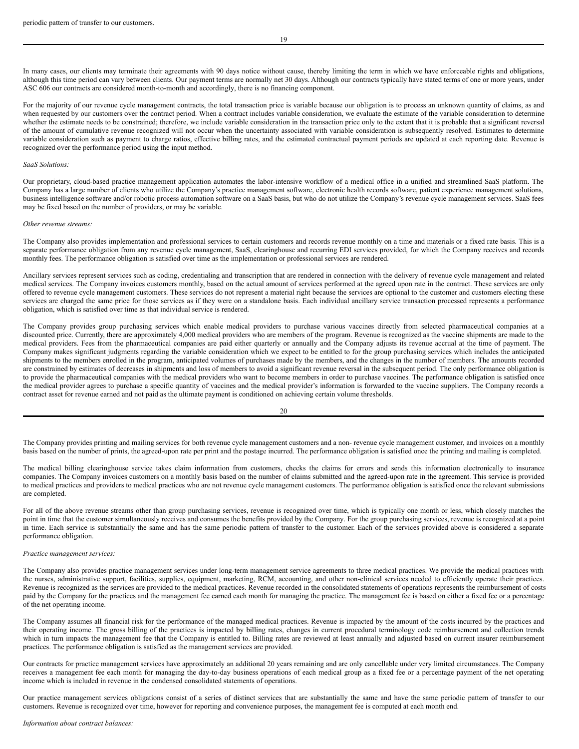In many cases, our clients may terminate their agreements with 90 days notice without cause, thereby limiting the term in which we have enforceable rights and obligations, although this time period can vary between clients. Our payment terms are normally net 30 days. Although our contracts typically have stated terms of one or more years, under ASC 606 our contracts are considered month-to-month and accordingly, there is no financing component.

For the majority of our revenue cycle management contracts, the total transaction price is variable because our obligation is to process an unknown quantity of claims, as and when requested by our customers over the contract period. When a contract includes variable consideration, we evaluate the estimate of the variable consideration to determine whether the estimate needs to be constrained; therefore, we include variable consideration in the transaction price only to the extent that it is probable that a significant reversal of the amount of cumulative revenue recognized will not occur when the uncertainty associated with variable consideration is subsequently resolved. Estimates to determine variable consideration such as payment to charge ratios, effective billing rates, and the estimated contractual payment periods are updated at each reporting date. Revenue is recognized over the performance period using the input method.

## *SaaS Solutions:*

Our proprietary, cloud-based practice management application automates the labor-intensive workflow of a medical office in a unified and streamlined SaaS platform. The Company has a large number of clients who utilize the Company's practice management software, electronic health records software, patient experience management solutions, business intelligence software and/or robotic process automation software on a SaaS basis, but who do not utilize the Company's revenue cycle management services. SaaS fees may be fixed based on the number of providers, or may be variable.

#### *Other revenue streams:*

The Company also provides implementation and professional services to certain customers and records revenue monthly on a time and materials or a fixed rate basis. This is a separate performance obligation from any revenue cycle management, SaaS, clearinghouse and recurring EDI services provided, for which the Company receives and records monthly fees. The performance obligation is satisfied over time as the implementation or professional services are rendered.

Ancillary services represent services such as coding, credentialing and transcription that are rendered in connection with the delivery of revenue cycle management and related medical services. The Company invoices customers monthly, based on the actual amount of services performed at the agreed upon rate in the contract. These services are only offered to revenue cycle management customers. These services do not represent a material right because the services are optional to the customer and customers electing these services are charged the same price for those services as if they were on a standalone basis. Each individual ancillary service transaction processed represents a performance obligation, which is satisfied over time as that individual service is rendered.

The Company provides group purchasing services which enable medical providers to purchase various vaccines directly from selected pharmaceutical companies at a discounted price. Currently, there are approximately 4,000 medical providers who are members of the program. Revenue is recognized as the vaccine shipments are made to the medical providers. Fees from the pharmaceutical companies are paid either quarterly or annually and the Company adjusts its revenue accrual at the time of payment. The Company makes significant judgments regarding the variable consideration which we expect to be entitled to for the group purchasing services which includes the anticipated shipments to the members enrolled in the program, anticipated volumes of purchases made by the members, and the changes in the number of members. The amounts recorded are constrained by estimates of decreases in shipments and loss of members to avoid a significant revenue reversal in the subsequent period. The only performance obligation is to provide the pharmaceutical companies with the medical providers who want to become members in order to purchase vaccines. The performance obligation is satisfied once the medical provider agrees to purchase a specific quantity of vaccines and the medical provider's information is forwarded to the vaccine suppliers. The Company records a contract asset for revenue earned and not paid as the ultimate payment is conditioned on achieving certain volume thresholds.

| I | ۰.<br>×<br>۰. |  |
|---|---------------|--|
|   |               |  |

The Company provides printing and mailing services for both revenue cycle management customers and a non- revenue cycle management customer, and invoices on a monthly basis based on the number of prints, the agreed-upon rate per print and the postage incurred. The performance obligation is satisfied once the printing and mailing is completed.

The medical billing clearinghouse service takes claim information from customers, checks the claims for errors and sends this information electronically to insurance companies. The Company invoices customers on a monthly basis based on the number of claims submitted and the agreed-upon rate in the agreement. This service is provided to medical practices and providers to medical practices who are not revenue cycle management customers. The performance obligation is satisfied once the relevant submissions are completed.

For all of the above revenue streams other than group purchasing services, revenue is recognized over time, which is typically one month or less, which closely matches the point in time that the customer simultaneously receives and consumes the benefits provided by the Company. For the group purchasing services, revenue is recognized at a point in time. Each service is substantially the same and has the same periodic pattern of transfer to the customer. Each of the services provided above is considered a separate performance obligation.

#### *Practice management services:*

The Company also provides practice management services under long-term management service agreements to three medical practices. We provide the medical practices with the nurses, administrative support, facilities, supplies, equipment, marketing, RCM, accounting, and other non-clinical services needed to efficiently operate their practices. Revenue is recognized as the services are provided to the medical practices. Revenue recorded in the consolidated statements of operations represents the reimbursement of costs paid by the Company for the practices and the management fee earned each month for managing the practice. The management fee is based on either a fixed fee or a percentage of the net operating income.

The Company assumes all financial risk for the performance of the managed medical practices. Revenue is impacted by the amount of the costs incurred by the practices and their operating income. The gross billing of the practices is impacted by billing rates, changes in current procedural terminology code reimbursement and collection trends which in turn impacts the management fee that the Company is entitled to. Billing rates are reviewed at least annually and adjusted based on current insurer reimbursement practices. The performance obligation is satisfied as the management services are provided.

Our contracts for practice management services have approximately an additional 20 years remaining and are only cancellable under very limited circumstances. The Company receives a management fee each month for managing the day-to-day business operations of each medical group as a fixed fee or a percentage payment of the net operating income which is included in revenue in the condensed consolidated statements of operations.

Our practice management services obligations consist of a series of distinct services that are substantially the same and have the same periodic pattern of transfer to our customers. Revenue is recognized over time, however for reporting and convenience purposes, the management fee is computed at each month end.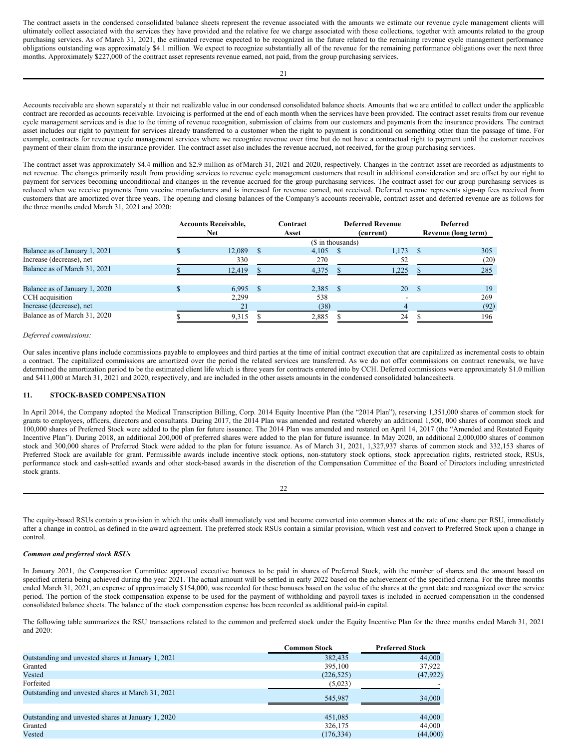The contract assets in the condensed consolidated balance sheets represent the revenue associated with the amounts we estimate our revenue cycle management clients will ultimately collect associated with the services they have provided and the relative fee we charge associated with those collections, together with amounts related to the group purchasing services. As of March 31, 2021, the estimated revenue expected to be recognized in the future related to the remaining revenue cycle management performance obligations outstanding was approximately \$4.1 million. We expect to recognize substantially all of the revenue for the remaining performance obligations over the next three months. Approximately \$227,000 of the contract asset represents revenue earned, not paid, from the group purchasing services.

Accounts receivable are shown separately at their net realizable value in our condensed consolidated balance sheets. Amounts that we are entitled to collect under the applicable contract are recorded as accounts receivable. Invoicing is performed at the end of each month when the services have been provided. The contract asset results from our revenue cycle management services and is due to the timing of revenue recognition, submission of claims from our customers and payments from the insurance providers. The contract asset includes our right to payment for services already transferred to a customer when the right to payment is conditional on something other than the passage of time. For example, contracts for revenue cycle management services where we recognize revenue over time but do not have a contractual right to payment until the customer receives payment of their claim from the insurance provider. The contract asset also includes the revenue accrued, not received, for the group purchasing services.

The contract asset was approximately \$4.4 million and \$2.9 million as ofMarch 31, 2021 and 2020, respectively. Changes in the contract asset are recorded as adjustments to net revenue. The changes primarily result from providing services to revenue cycle management customers that result in additional consideration and are offset by our right to payment for services becoming unconditional and changes in the revenue accrued for the group purchasing services. The contract asset for our group purchasing services is reduced when we receive payments from vaccine manufacturers and is increased for revenue earned, not received. Deferred revenue represents sign-up fees received from customers that are amortized over three years. The opening and closing balances of the Company's accounts receivable, contract asset and deferred revenue are as follows for the three months ended March 31, 2021 and 2020:

|                               | <b>Accounts Receivable,</b><br>Net |    | Contract<br>Asset |                   | <b>Deferred Revenue</b><br>(current) | <b>Deferred</b><br>Revenue (long term) |
|-------------------------------|------------------------------------|----|-------------------|-------------------|--------------------------------------|----------------------------------------|
|                               |                                    |    |                   | (\$ in thousands) |                                      |                                        |
| Balance as of January 1, 2021 | 12,089                             |    | 4,105             |                   | 1,173                                | 305                                    |
| Increase (decrease), net      | 330                                |    | 270               |                   | 52                                   | (20)                                   |
| Balance as of March 31, 2021  | 12.419                             |    | 4.375             |                   | .225                                 | 285                                    |
| Balance as of January 1, 2020 | 6.995                              | -8 | $2,385$ \$        |                   | 20                                   | 19                                     |
| CCH acquisition               | 2,299                              |    | 538               |                   |                                      | 269                                    |
| Increase (decrease), net      | 21                                 |    | (38)              |                   |                                      | (92)                                   |
| Balance as of March 31, 2020  | 9.315                              |    | 2,885             |                   | 24                                   | 196                                    |

#### *Deferred commissions:*

Our sales incentive plans include commissions payable to employees and third parties at the time of initial contract execution that are capitalized as incremental costs to obtain a contract. The capitalized commissions are amortized over the period the related services are transferred. As we do not offer commissions on contract renewals, we have determined the amortization period to be the estimated client life which is three years for contracts entered into by CCH. Deferred commissions were approximately \$1.0 million and \$411,000 at March 31, 2021 and 2020, respectively, and are included in the other assets amounts in the condensed consolidated balancesheets.

# **11. STOCK-BASED COMPENSATION**

In April 2014, the Company adopted the Medical Transcription Billing, Corp. 2014 Equity Incentive Plan (the "2014 Plan"), reserving 1,351,000 shares of common stock for grants to employees, officers, directors and consultants. During 2017, the 2014 Plan was amended and restated whereby an additional 1,500, 000 shares of common stock and 100,000 shares of Preferred Stock were added to the plan for future issuance. The 2014 Plan was amended and restated on April 14, 2017 (the "Amended and Restated Equity Incentive Plan"). During 2018, an additional 200,000 of preferred shares were added to the plan for future issuance. In May 2020, an additional 2,000,000 shares of common stock and 300,000 shares of Preferred Stock were added to the plan for future issuance. As of March 31, 2021, 1,327,937 shares of common stock and 332,153 shares of Preferred Stock are available for grant. Permissible awards include incentive stock options, non-statutory stock options, stock appreciation rights, restricted stock, RSUs, performance stock and cash-settled awards and other stock-based awards in the discretion of the Compensation Committee of the Board of Directors including unrestricted stock grants.

 $22$ 

The equity-based RSUs contain a provision in which the units shall immediately vest and become converted into common shares at the rate of one share per RSU, immediately after a change in control, as defined in the award agreement. The preferred stock RSUs contain a similar provision, which vest and convert to Preferred Stock upon a change in control.

# *Common and preferred stock RSUs*

In January 2021, the Compensation Committee approved executive bonuses to be paid in shares of Preferred Stock, with the number of shares and the amount based on specified criteria being achieved during the year 2021. The actual amount will be settled in early 2022 based on the achievement of the specified criteria. For the three months ended March 31, 2021, an expense of approximately \$154,000, was recorded for these bonuses based on the value of the shares at the grant date and recognized over the service period. The portion of the stock compensation expense to be used for the payment of withholding and payroll taxes is included in accrued compensation in the condensed consolidated balance sheets. The balance of the stock compensation expense has been recorded as additional paid-in capital.

The following table summarizes the RSU transactions related to the common and preferred stock under the Equity Incentive Plan for the three months ended March 31, 2021 and  $2020$ 

|                                                    | <b>Common Stock</b> | <b>Preferred Stock</b> |
|----------------------------------------------------|---------------------|------------------------|
| Outstanding and unvested shares at January 1, 2021 | 382,435             | 44,000                 |
| Granted                                            | 395,100             | 37,922                 |
| Vested                                             | (226, 525)          | (47, 922)              |
| Forfeited                                          | (5,023)             |                        |
| Outstanding and unvested shares at March 31, 2021  | 545,987             | 34,000                 |
|                                                    |                     |                        |
| Outstanding and unvested shares at January 1, 2020 | 451.085             | 44,000                 |
| Granted                                            | 326,175             | 44,000                 |
| Vested                                             | (176, 334)          | (44,000)               |

21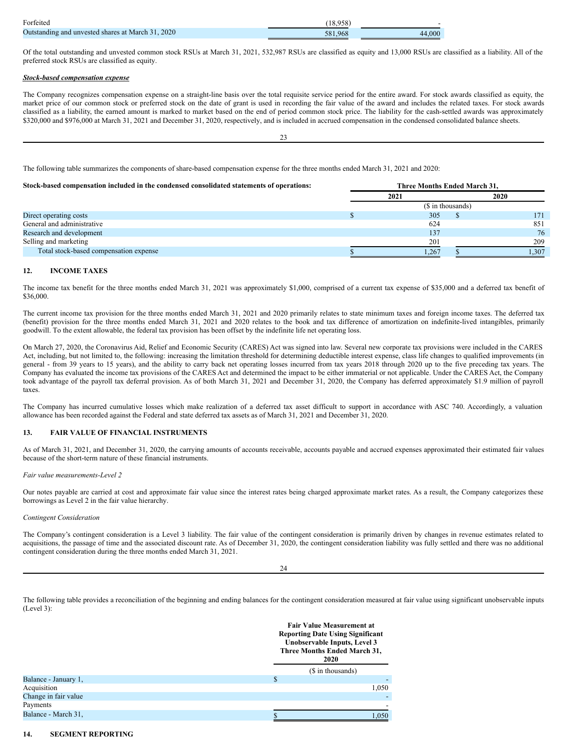| Forfeited                                         | 18.958  |        |
|---------------------------------------------------|---------|--------|
| Outstanding and unvested shares at March 31, 2020 | 581.968 | 44,000 |

Of the total outstanding and unvested common stock RSUs at March 31, 2021, 532,987 RSUs are classified as equity and 13,000 RSUs are classified as a liability. All of the preferred stock RSUs are classified as equity.

# *Stock-based compensation expense*

The Company recognizes compensation expense on a straight-line basis over the total requisite service period for the entire award. For stock awards classified as equity, the market price of our common stock or preferred stock on the date of grant is used in recording the fair value of the award and includes the related taxes. For stock awards classified as a liability, the earned amount is marked to market based on the end of period common stock price. The liability for the cash-settled awards was approximately \$320,000 and \$976,000 at March 31, 2021 and December 31, 2020, respectively, and is included in accrued compensation in the condensed consolidated balance sheets.

| × |              |  |
|---|--------------|--|
|   | I<br>×<br>۰. |  |

The following table summarizes the components of share-based compensation expense for the three months ended March 31, 2021 and 2020:

| Stock-based compensation included in the condensed consolidated statements of operations: | Three Months Ended March 31, |                   |  |       |  |  |
|-------------------------------------------------------------------------------------------|------------------------------|-------------------|--|-------|--|--|
|                                                                                           | 2020<br>2021                 |                   |  |       |  |  |
|                                                                                           |                              | (\$ in thousands) |  |       |  |  |
| Direct operating costs                                                                    |                              | 305               |  | 171   |  |  |
| General and administrative                                                                |                              | 624               |  | 851   |  |  |
| Research and development                                                                  |                              | 137               |  | 76    |  |  |
| Selling and marketing                                                                     |                              | 201               |  | 209   |  |  |
| Total stock-based compensation expense                                                    |                              | 4.267             |  | 1.307 |  |  |

# **12. INCOME TAXES**

The income tax benefit for the three months ended March 31, 2021 was approximately \$1,000, comprised of a current tax expense of \$35,000 and a deferred tax benefit of \$36,000.

The current income tax provision for the three months ended March 31, 2021 and 2020 primarily relates to state minimum taxes and foreign income taxes. The deferred tax (benefit) provision for the three months ended March 31, 2021 and 2020 relates to the book and tax difference of amortization on indefinite-lived intangibles, primarily goodwill. To the extent allowable, the federal tax provision has been offset by the indefinite life net operating loss.

On March 27, 2020, the Coronavirus Aid, Relief and Economic Security (CARES) Act was signed into law. Several new corporate tax provisions were included in the CARES Act, including, but not limited to, the following: increasing the limitation threshold for determining deductible interest expense, class life changes to qualified improvements (in general - from 39 years to 15 years), and the ability to carry back net operating losses incurred from tax years 2018 through 2020 up to the five preceding tax years. The Company has evaluated the income tax provisions of the CARES Act and determined the impact to be either immaterial or not applicable. Under the CARES Act, the Company took advantage of the payroll tax deferral provision. As of both March 31, 2021 and December 31, 2020, the Company has deferred approximately \$1.9 million of payroll taxes.

The Company has incurred cumulative losses which make realization of a deferred tax asset difficult to support in accordance with ASC 740. Accordingly, a valuation allowance has been recorded against the Federal and state deferred tax assets as of March 31, 2021 and December 31, 2020.

# **13. FAIR VALUE OF FINANCIAL INSTRUMENTS**

As of March 31, 2021, and December 31, 2020, the carrying amounts of accounts receivable, accounts payable and accrued expenses approximated their estimated fair values because of the short-term nature of these financial instruments.

#### *Fair value measurements-Level 2*

Our notes payable are carried at cost and approximate fair value since the interest rates being charged approximate market rates. As a result, the Company categorizes these borrowings as Level 2 in the fair value hierarchy.

#### *Contingent Consideration*

(Level 3):

The Company's contingent consideration is a Level 3 liability. The fair value of the contingent consideration is primarily driven by changes in revenue estimates related to acquisitions, the passage of time and the associated discount rate. As of December 31, 2020, the contingent consideration liability was fully settled and there was no additional contingent consideration during the three months ended March 31, 2021.

24

The following table provides a reconciliation of the beginning and ending balances for the contingent consideration measured at fair value using significant unobservable inputs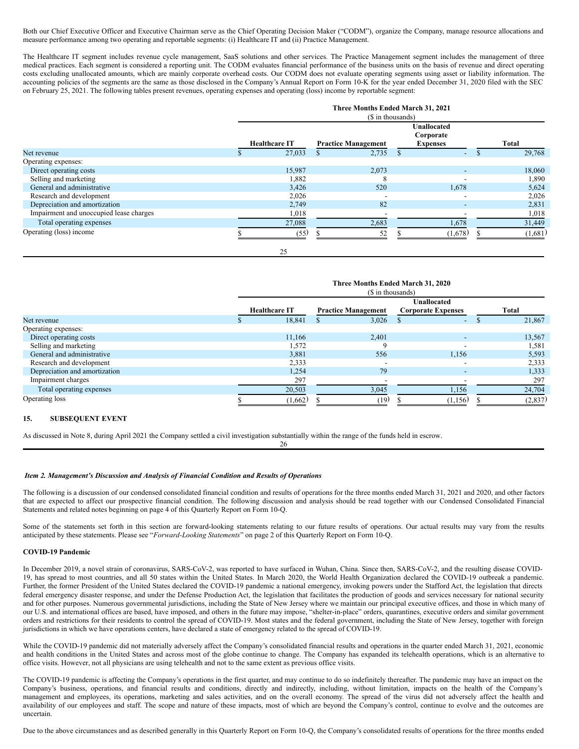Both our Chief Executive Officer and Executive Chairman serve as the Chief Operating Decision Maker ("CODM"), organize the Company, manage resource allocations and measure performance among two operating and reportable segments: (i) Healthcare IT and (ii) Practice Management.

The Healthcare IT segment includes revenue cycle management, SaaS solutions and other services. The Practice Management segment includes the management of three medical practices. Each segment is considered a reporting unit. The CODM evaluates financial performance of the business units on the basis of revenue and direct operating costs excluding unallocated amounts, which are mainly corporate overhead costs. Our CODM does not evaluate operating segments using asset or liability information. The accounting policies of the segments are the same as those disclosed in the Company's Annual Report on Form 10-K for the year ended December 31, 2020 filed with the SEC on February 25, 2021. The following tables present revenues, operating expenses and operating (loss) income by reportable segment:

|                                         | Three Months Ended March 31, 2021<br>(\$ in thousands) |                            |  |                                                    |  |         |  |  |
|-----------------------------------------|--------------------------------------------------------|----------------------------|--|----------------------------------------------------|--|---------|--|--|
|                                         | <b>Healthcare IT</b>                                   | <b>Practice Management</b> |  | <b>Unallocated</b><br>Corporate<br><b>Expenses</b> |  | Total   |  |  |
| Net revenue                             | 27,033                                                 | 2,735                      |  | -                                                  |  | 29,768  |  |  |
| Operating expenses:                     |                                                        |                            |  |                                                    |  |         |  |  |
| Direct operating costs                  | 15,987                                                 | 2,073                      |  |                                                    |  | 18,060  |  |  |
| Selling and marketing                   | 1,882                                                  | δ                          |  |                                                    |  | 1,890   |  |  |
| General and administrative              | 3,426                                                  | 520                        |  | 1,678                                              |  | 5,624   |  |  |
| Research and development                | 2,026                                                  |                            |  | ۰                                                  |  | 2,026   |  |  |
| Depreciation and amortization           | 2,749                                                  | 82                         |  |                                                    |  | 2,831   |  |  |
| Impairment and unoccupied lease charges | 1,018                                                  |                            |  |                                                    |  | 1,018   |  |  |
| Total operating expenses                | 27,088                                                 | 2,683                      |  | 1,678                                              |  | 31,449  |  |  |
| Operating (loss) income                 | (55)                                                   | 52                         |  | (1,678)                                            |  | (1,681) |  |  |
|                                         |                                                        |                            |  |                                                    |  |         |  |  |

25

|                               | Three Months Ended March 31, 2020 |                      |  |                            |                           |  |         |
|-------------------------------|-----------------------------------|----------------------|--|----------------------------|---------------------------|--|---------|
|                               |                                   |                      |  | (\$ in thousands)          |                           |  |         |
|                               |                                   |                      |  |                            | <b>Unallocated</b>        |  |         |
|                               |                                   | <b>Healthcare IT</b> |  | <b>Practice Management</b> | <b>Corporate Expenses</b> |  | Total   |
| Net revenue                   |                                   | 18,841               |  | 3,026                      | $\overline{\phantom{a}}$  |  | 21,867  |
| Operating expenses:           |                                   |                      |  |                            |                           |  |         |
| Direct operating costs        |                                   | 11.166               |  | 2,401                      |                           |  | 13,567  |
| Selling and marketing         |                                   | 1,572                |  |                            |                           |  | 1,581   |
| General and administrative    |                                   | 3,881                |  | 556                        | 1.156                     |  | 5,593   |
| Research and development      |                                   | 2,333                |  |                            |                           |  | 2,333   |
| Depreciation and amortization |                                   | 1,254                |  | 79                         |                           |  | 1,333   |
| Impairment charges            |                                   | 297                  |  |                            |                           |  | 297     |
| Total operating expenses      |                                   | 20,503               |  | 3,045                      | 1,156                     |  | 24,704  |
| Operating loss                |                                   | (1,662)              |  | (19)                       | (1,156)                   |  | (2,837) |

#### **15. SUBSEQUENT EVENT**

As discussed in Note 8, during April 2021 the Company settled a civil investigation substantially within the range of the funds held in escrow.

26

## <span id="page-14-0"></span>*Item 2. Management's Discussion and Analysis of Financial Condition and Results of Operations*

The following is a discussion of our condensed consolidated financial condition and results of operations for the three months ended March 31, 2021 and 2020, and other factors that are expected to affect our prospective financial condition. The following discussion and analysis should be read together with our Condensed Consolidated Financial Statements and related notes beginning on page 4 of this Quarterly Report on Form 10-Q.

Some of the statements set forth in this section are forward-looking statements relating to our future results of operations. Our actual results may vary from the results anticipated by these statements. Please see "*Forward-Looking Statements*" on page 2 of this Quarterly Report on Form 10-Q.

# **COVID-19 Pandemic**

In December 2019, a novel strain of coronavirus, SARS-CoV-2, was reported to have surfaced in Wuhan, China. Since then, SARS-CoV-2, and the resulting disease COVID-19, has spread to most countries, and all 50 states within the United States. In March 2020, the World Health Organization declared the COVID-19 outbreak a pandemic. Further, the former President of the United States declared the COVID-19 pandemic a national emergency, invoking powers under the Stafford Act, the legislation that directs federal emergency disaster response, and under the Defense Production Act, the legislation that facilitates the production of goods and services necessary for national security and for other purposes. Numerous governmental jurisdictions, including the State of New Jersey where we maintain our principal executive offices, and those in which many of our U.S. and international offices are based, have imposed, and others in the future may impose, "shelter-in-place" orders, quarantines, executive orders and similar government orders and restrictions for their residents to control the spread of COVID-19. Most states and the federal government, including the State of New Jersey, together with foreign jurisdictions in which we have operations centers, have declared a state of emergency related to the spread of COVID-19.

While the COVID-19 pandemic did not materially adversely affect the Company's consolidated financial results and operations in the quarter ended March 31, 2021, economic and health conditions in the United States and across most of the globe continue to change. The Company has expanded its telehealth operations, which is an alternative to office visits. However, not all physicians are using telehealth and not to the same extent as previous office visits.

The COVID-19 pandemic is affecting the Company's operations in the first quarter, and may continue to do so indefinitely thereafter. The pandemic may have an impact on the Company's business, operations, and financial results and conditions, directly and indirectly, including, without limitation, impacts on the health of the Company's management and employees, its operations, marketing and sales activities, and on the overall economy. The spread of the virus did not adversely affect the health and availability of our employees and staff. The scope and nature of these impacts, most of which are beyond the Company's control, continue to evolve and the outcomes are uncertain.

Due to the above circumstances and as described generally in this Quarterly Report on Form 10-Q, the Company's consolidated results of operations for the three months ended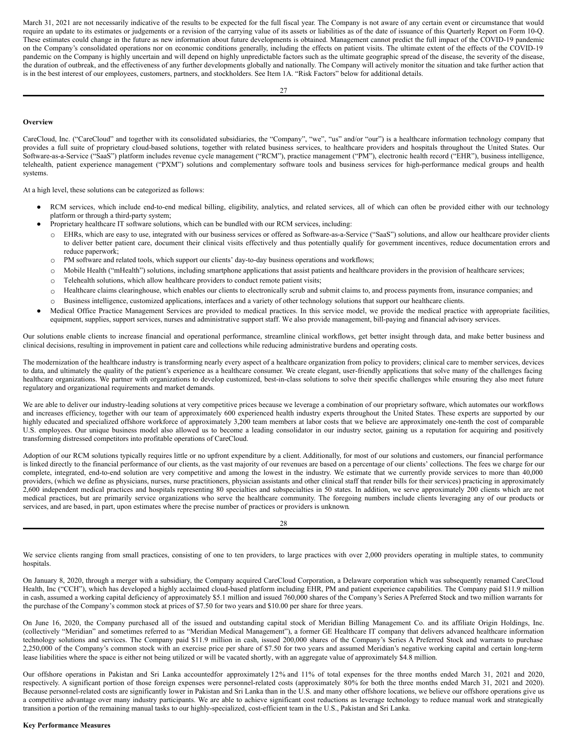March 31, 2021 are not necessarily indicative of the results to be expected for the full fiscal year. The Company is not aware of any certain event or circumstance that would require an update to its estimates or judgements or a revision of the carrying value of its assets or liabilities as of the date of issuance of this Quarterly Report on Form 10-Q. These estimates could change in the future as new information about future developments is obtained. Management cannot predict the full impact of the COVID-19 pandemic on the Company's consolidated operations nor on economic conditions generally, including the effects on patient visits. The ultimate extent of the effects of the COVID-19 pandemic on the Company is highly uncertain and will depend on highly unpredictable factors such as the ultimate geographic spread of the disease, the severity of the disease, the duration of outbreak, and the effectiveness of any further developments globally and nationally. The Company will actively monitor the situation and take further action that is in the best interest of our employees, customers, partners, and stockholders. See Item 1A. "Risk Factors" below for additional details.

## **Overview**

CareCloud, Inc. ("CareCloud" and together with its consolidated subsidiaries, the "Company", "we", "us" and/or "our") is a healthcare information technology company that provides a full suite of proprietary cloud-based solutions, together with related business services, to healthcare providers and hospitals throughout the United States. Our Software-as-a-Service ("SaaS") platform includes revenue cycle management ("RCM"), practice management ("PM"), electronic health record ("EHR"), business intelligence, telehealth, patient experience management ("PXM") solutions and complementary software tools and business services for high-performance medical groups and health systems.

At a high level, these solutions can be categorized as follows:

- RCM services, which include end-to-end medical billing, eligibility, analytics, and related services, all of which can often be provided either with our technology platform or through a third-party system;
- Proprietary healthcare IT software solutions, which can be bundled with our RCM services, including:
	- EHRs, which are easy to use, integrated with our business services or offered as Software-as-a-Service ("SaaS") solutions, and allow our healthcare provider clients to deliver better patient care, document their clinical visits effectively and thus potentially qualify for government incentives, reduce documentation errors and reduce paperwork;
	- PM software and related tools, which support our clients' day-to-day business operations and workflows;
	- Mobile Health ("mHealth") solutions, including smartphone applications that assist patients and healthcare providers in the provision of healthcare services;
	- $\circ$  Telehealth solutions, which allow healthcare providers to conduct remote patient visits;
	- Healthcare claims clearinghouse, which enables our clients to electronically scrub and submit claims to, and process payments from, insurance companies; and
	- Business intelligence, customized applications, interfaces and a variety of other technology solutions that support our healthcare clients.
- Medical Office Practice Management Services are provided to medical practices. In this service model, we provide the medical practice with appropriate facilities, equipment, supplies, support services, nurses and administrative support staff. We also provide management, bill-paying and financial advisory services.

Our solutions enable clients to increase financial and operational performance, streamline clinical workflows, get better insight through data, and make better business and clinical decisions, resulting in improvement in patient care and collections while reducing administrative burdens and operating costs.

The modernization of the healthcare industry is transforming nearly every aspect of a healthcare organization from policy to providers; clinical care to member services, devices to data, and ultimately the quality of the patient's experience as a healthcare consumer. We create elegant, user-friendly applications that solve many of the challenges facing healthcare organizations. We partner with organizations to develop customized, best-in-class solutions to solve their specific challenges while ensuring they also meet future regulatory and organizational requirements and market demands.

We are able to deliver our industry-leading solutions at very competitive prices because we leverage a combination of our proprietary software, which automates our workflows and increases efficiency, together with our team of approximately 600 experienced health industry experts throughout the United States. These experts are supported by our highly educated and specialized offshore workforce of approximately 3,200 team members at labor costs that we believe are approximately one-tenth the cost of comparable U.S. employees. Our unique business model also allowed us to become a leading consolidator in our industry sector, gaining us a reputation for acquiring and positively transforming distressed competitors into profitable operations of CareCloud.

Adoption of our RCM solutions typically requires little or no upfront expenditure by a client. Additionally, for most of our solutions and customers, our financial performance is linked directly to the financial performance of our clients, as the vast majority of our revenues are based on a percentage of our clients' collections. The fees we charge for our complete, integrated, end-to-end solution are very competitive and among the lowest in the industry. We estimate that we currently provide services to more than 40,000 providers, (which we define as physicians, nurses, nurse practitioners, physician assistants and other clinical staff that render bills for their services) practicing in approximately 2,600 independent medical practices and hospitals representing 80 specialties and subspecialties in 50 states. In addition, we serve approximately 200 clients which are not medical practices, but are primarily service organizations who serve the healthcare community. The foregoing numbers include clients leveraging any of our products or services, and are based, in part, upon estimates where the precise number of practices or providers is unknown.

We service clients ranging from small practices, consisting of one to ten providers, to large practices with over 2,000 providers operating in multiple states, to community hospitals.

On January 8, 2020, through a merger with a subsidiary, the Company acquired CareCloud Corporation, a Delaware corporation which was subsequently renamed CareCloud Health, Inc ("CCH"), which has developed a highly acclaimed cloud-based platform including EHR, PM and patient experience capabilities. The Company paid \$11.9 million in cash, assumed a working capital deficiency of approximately \$5.1 million and issued 760,000 shares of the Company's Series A Preferred Stock and two million warrants for the purchase of the Company's common stock at prices of \$7.50 for two years and \$10.00 per share for three years.

On June 16, 2020, the Company purchased all of the issued and outstanding capital stock of Meridian Billing Management Co. and its affiliate Origin Holdings, Inc. (collectively "Meridian" and sometimes referred to as "Meridian Medical Management"), a former GE Healthcare IT company that delivers advanced healthcare information technology solutions and services. The Company paid \$11.9 million in cash, issued 200,000 shares of the Company's Series A Preferred Stock and warrants to purchase 2,250,000 of the Company's common stock with an exercise price per share of \$7.50 for two years and assumed Meridian's negative working capital and certain long-term lease liabilities where the space is either not being utilized or will be vacated shortly, with an aggregate value of approximately \$4.8 million.

Our offshore operations in Pakistan and Sri Lanka accountedfor approximately 12% and 11% of total expenses for the three months ended March 31, 2021 and 2020, respectively. A significant portion of those foreign expenses were personnel-related costs (approximately 80% for both the three months ended March 31, 2021 and 2020). Because personnel-related costs are significantly lower in Pakistan and Sri Lanka than in the U.S. and many other offshore locations, we believe our offshore operations give us a competitive advantage over many industry participants. We are able to achieve significant cost reductions as leverage technology to reduce manual work and strategically transition a portion of the remaining manual tasks to our highly-specialized, cost-efficient team in the U.S., Pakistan and Sri Lanka.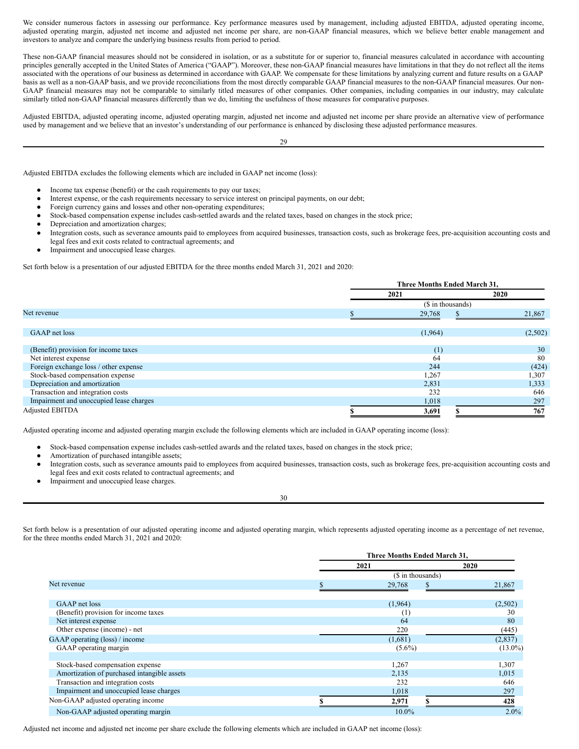We consider numerous factors in assessing our performance. Key performance measures used by management, including adjusted EBITDA, adjusted operating income, adjusted operating margin, adjusted net income and adjusted net income per share, are non-GAAP financial measures, which we believe better enable management and investors to analyze and compare the underlying business results from period to period.

These non-GAAP financial measures should not be considered in isolation, or as a substitute for or superior to, financial measures calculated in accordance with accounting principles generally accepted in the United States of America ("GAAP"). Moreover, these non-GAAP financial measures have limitations in that they do not reflect all the items associated with the operations of our business as determined in accordance with GAAP. We compensate for these limitations by analyzing current and future results on a GAAP basis as well as a non-GAAP basis, and we provide reconciliations from the most directly comparable GAAP financial measures to the non-GAAP financial measures. Our non-GAAP financial measures may not be comparable to similarly titled measures of other companies. Other companies, including companies in our industry, may calculate similarly titled non-GAAP financial measures differently than we do, limiting the usefulness of those measures for comparative purposes.

Adjusted EBITDA, adjusted operating income, adjusted operating margin, adjusted net income and adjusted net income per share provide an alternative view of performance used by management and we believe that an investor's understanding of our performance is enhanced by disclosing these adjusted performance measures.

29

Adjusted EBITDA excludes the following elements which are included in GAAP net income (loss):

- Income tax expense (benefit) or the cash requirements to pay our taxes;
- Interest expense, or the cash requirements necessary to service interest on principal payments, on our debt;
- Foreign currency gains and losses and other non-operating expenditures;
- Stock-based compensation expense includes cash-settled awards and the related taxes, based on changes in the stock price;
- Depreciation and amortization charges;
- Integration costs, such as severance amounts paid to employees from acquired businesses, transaction costs, such as brokerage fees, pre-acquisition accounting costs and legal fees and exit costs related to contractual agreements; and
- Impairment and unoccupied lease charges.

Set forth below is a presentation of our adjusted EBITDA for the three months ended March 31, 2021 and 2020:

|                                         |      | Three Months Ended March 31, |                   |         |  |
|-----------------------------------------|------|------------------------------|-------------------|---------|--|
|                                         | 2021 |                              |                   | 2020    |  |
|                                         |      |                              | (\$ in thousands) |         |  |
| Net revenue                             |      | 29,768                       |                   | 21,867  |  |
|                                         |      |                              |                   |         |  |
| GAAP net loss                           |      | (1,964)                      |                   | (2,502) |  |
|                                         |      |                              |                   |         |  |
| (Benefit) provision for income taxes    |      | (1)                          |                   | 30      |  |
| Net interest expense                    |      | -64                          |                   | 80      |  |
| Foreign exchange loss / other expense   |      | 244                          |                   | (424)   |  |
| Stock-based compensation expense        |      | 1,267                        |                   | 1,307   |  |
| Depreciation and amortization           |      | 2,831                        |                   | 1,333   |  |
| Transaction and integration costs       |      | 232                          |                   | 646     |  |
| Impairment and unoccupied lease charges |      | 1,018                        |                   | 297     |  |
| <b>Adjusted EBITDA</b>                  |      | 3,691                        |                   | 767     |  |

Adjusted operating income and adjusted operating margin exclude the following elements which are included in GAAP operating income (loss):

- Stock-based compensation expense includes cash-settled awards and the related taxes, based on changes in the stock price;
- Amortization of purchased intangible assets;
- Integration costs, such as severance amounts paid to employees from acquired businesses, transaction costs, such as brokerage fees, pre-acquisition accounting costs and legal fees and exit costs related to contractual agreements; and
- Impairment and unoccupied lease charges.

30

Set forth below is a presentation of our adjusted operating income and adjusted operating margin, which represents adjusted operating income as a percentage of net revenue, for the three months ended March 31, 2021 and 2020:

|                                             | <b>Three Months Ended March 31.</b> |            |
|---------------------------------------------|-------------------------------------|------------|
|                                             | 2021                                | 2020       |
|                                             | (\$ in thousands)                   |            |
| Net revenue                                 | 29,768                              | 21,867     |
|                                             |                                     |            |
| GAAP net loss                               | (1,964)                             | (2,502)    |
| (Benefit) provision for income taxes        | (1)                                 | 30         |
| Net interest expense                        | 64                                  | 80         |
| Other expense (income) - net                | 220                                 | (445)      |
| GAAP operating (loss) / income              | (1,681)                             | (2,837)    |
| GAAP operating margin                       | $(5.6\%)$                           | $(13.0\%)$ |
|                                             |                                     |            |
| Stock-based compensation expense            | 1,267                               | 1,307      |
| Amortization of purchased intangible assets | 2,135                               | 1,015      |
| Transaction and integration costs           | 232                                 | 646        |
| Impairment and unoccupied lease charges     | 1,018                               | 297        |
| Non-GAAP adjusted operating income          | 2,971                               | 428        |
| Non-GAAP adjusted operating margin          | 10.0%                               | $2.0\%$    |

Adjusted net income and adjusted net income per share exclude the following elements which are included in GAAP net income (loss):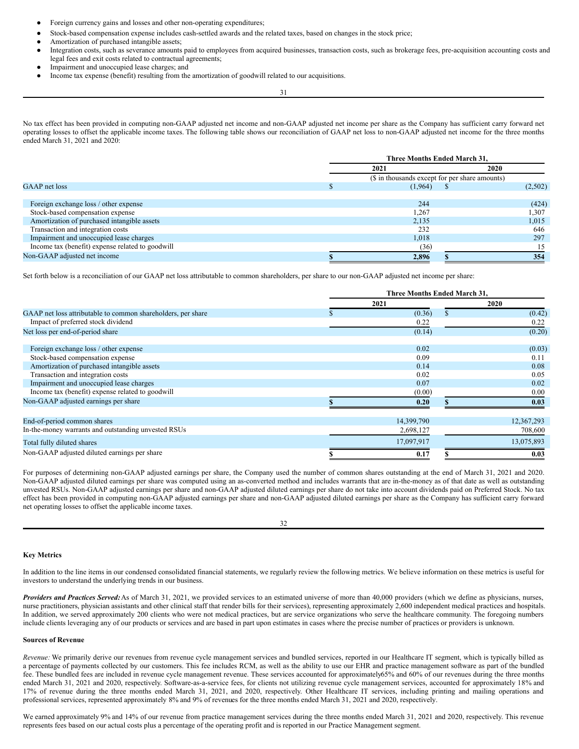- Foreign currency gains and losses and other non-operating expenditures;
- Stock-based compensation expense includes cash-settled awards and the related taxes, based on changes in the stock price;
- Amortization of purchased intangible assets;
- Integration costs, such as severance amounts paid to employees from acquired businesses, transaction costs, such as brokerage fees, pre-acquisition accounting costs and legal fees and exit costs related to contractual agreements;
- Impairment and unoccupied lease charges; and
- Income tax expense (benefit) resulting from the amortization of goodwill related to our acquisitions.

```
31
```
No tax effect has been provided in computing non-GAAP adjusted net income and non-GAAP adjusted net income per share as the Company has sufficient carry forward net operating losses to offset the applicable income taxes. The following table shows our reconciliation of GAAP net loss to non-GAAP adjusted net income for the three months ended March 31, 2021 and 2020:

|                                                  | Three Months Ended March 31,                   |  |         |  |  |  |  |
|--------------------------------------------------|------------------------------------------------|--|---------|--|--|--|--|
|                                                  | 2021<br>2020                                   |  |         |  |  |  |  |
|                                                  | (\$ in thousands except for per share amounts) |  |         |  |  |  |  |
| GAAP net loss                                    | (1,964)                                        |  | (2,502) |  |  |  |  |
|                                                  |                                                |  |         |  |  |  |  |
| Foreign exchange loss / other expense            | 244                                            |  | (424)   |  |  |  |  |
| Stock-based compensation expense                 | 1,267                                          |  | 1,307   |  |  |  |  |
| Amortization of purchased intangible assets      | 2,135                                          |  | 1,015   |  |  |  |  |
| Transaction and integration costs                | 232                                            |  | 646     |  |  |  |  |
| Impairment and unoccupied lease charges          | 1,018                                          |  | 297     |  |  |  |  |
| Income tax (benefit) expense related to goodwill | (36)                                           |  |         |  |  |  |  |
| Non-GAAP adjusted net income                     | 2.896                                          |  | 354     |  |  |  |  |

Set forth below is a reconciliation of our GAAP net loss attributable to common shareholders, per share to our non-GAAP adjusted net income per share:

|                                                              | Three Months Ended March 31, |      |            |  |  |  |
|--------------------------------------------------------------|------------------------------|------|------------|--|--|--|
|                                                              | 2021                         | 2020 |            |  |  |  |
| GAAP net loss attributable to common shareholders, per share | (0.36)                       | S    | (0.42)     |  |  |  |
| Impact of preferred stock dividend                           | 0.22                         |      | 0.22       |  |  |  |
| Net loss per end-of-period share                             | (0.14)                       |      | (0.20)     |  |  |  |
| Foreign exchange loss / other expense                        | 0.02                         |      | (0.03)     |  |  |  |
| Stock-based compensation expense                             | 0.09                         |      | 0.11       |  |  |  |
| Amortization of purchased intangible assets                  | 0.14                         |      | 0.08       |  |  |  |
| Transaction and integration costs                            | 0.02                         |      | 0.05       |  |  |  |
| Impairment and unoccupied lease charges                      | 0.07                         |      | 0.02       |  |  |  |
| Income tax (benefit) expense related to goodwill             | (0.00)                       |      | 0.00       |  |  |  |
| Non-GAAP adjusted earnings per share                         | 0.20                         |      | 0.03       |  |  |  |
| End-of-period common shares                                  | 14,399,790                   |      | 12,367,293 |  |  |  |
| In-the-money warrants and outstanding unvested RSUs          | 2,698,127                    |      | 708,600    |  |  |  |
| Total fully diluted shares                                   | 17,097,917                   |      | 13,075,893 |  |  |  |
| Non-GAAP adjusted diluted earnings per share                 | 0.17                         |      | 0.03       |  |  |  |

For purposes of determining non-GAAP adjusted earnings per share, the Company used the number of common shares outstanding at the end of March 31, 2021 and 2020. Non-GAAP adjusted diluted earnings per share was computed using an as-converted method and includes warrants that are in-the-money as of that date as well as outstanding unvested RSUs. Non-GAAP adjusted earnings per share and non-GAAP adjusted diluted earnings per share do not take into account dividends paid on Preferred Stock. No tax effect has been provided in computing non-GAAP adjusted earnings per share and non-GAAP adjusted diluted earnings per share as the Company has sufficient carry forward net operating losses to offset the applicable income taxes.

#### 32

## **Key Metrics**

In addition to the line items in our condensed consolidated financial statements, we regularly review the following metrics. We believe information on these metrics is useful for investors to understand the underlying trends in our business.

*Providers and Practices Served:*As of March 31, 2021, we provided services to an estimated universe of more than 40,000 providers (which we define as physicians, nurses, nurse practitioners, physician assistants and other clinical staff that render bills for their services), representing approximately 2,600 independent medical practices and hospitals. In addition, we served approximately 200 clients who were not medical practices, but are service organizations who serve the healthcare community. The foregoing numbers include clients leveraging any of our products or services and are based in part upon estimates in cases where the precise number of practices or providers is unknown.

#### **Sources of Revenue**

*Revenue:* We primarily derive our revenues from revenue cycle management services and bundled services, reported in our Healthcare IT segment, which is typically billed as a percentage of payments collected by our customers. This fee includes RCM, as well as the ability to use our EHR and practice management software as part of the bundled fee. These bundled fees are included in revenue cycle management revenue. These services accounted for approximately65% and 60% of our revenues during the three months ended March 31, 2021 and 2020, respectively. Software-as-a-service fees, for clients not utilizing revenue cycle management services, accounted for approximately 18% and 17% of revenue during the three months ended March 31, 2021, and 2020, respectively. Other Healthcare IT services, including printing and mailing operations and professional services, represented approximately 8% and 9% of revenues for the three months ended March 31, 2021 and 2020, respectively.

We earned approximately 9% and 14% of our revenue from practice management services during the three months ended March 31, 2021 and 2020, respectively. This revenue represents fees based on our actual costs plus a percentage of the operating profit and is reported in our Practice Management segment.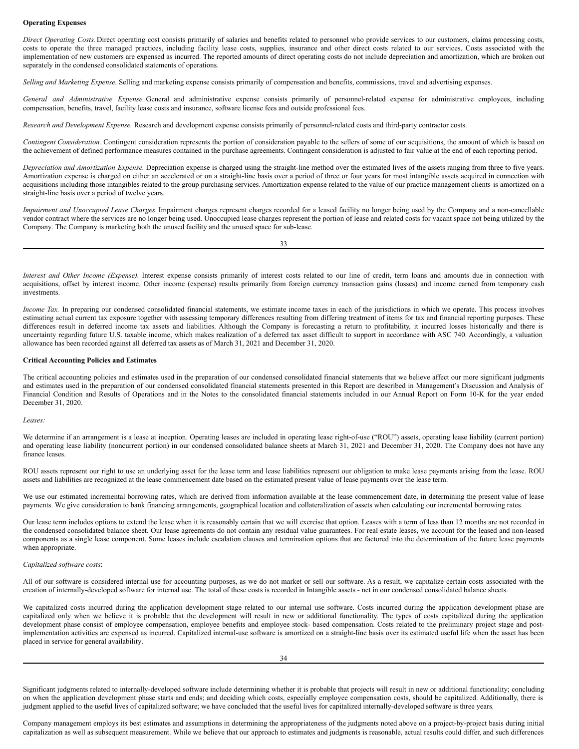#### **Operating Expenses**

*Direct Operating Costs.*Direct operating cost consists primarily of salaries and benefits related to personnel who provide services to our customers, claims processing costs, costs to operate the three managed practices, including facility lease costs, supplies, insurance and other direct costs related to our services. Costs associated with the implementation of new customers are expensed as incurred. The reported amounts of direct operating costs do not include depreciation and amortization, which are broken out separately in the condensed consolidated statements of operations.

*Selling and Marketing Expense.* Selling and marketing expense consists primarily of compensation and benefits, commissions, travel and advertising expenses.

*General and Administrative Expense.* General and administrative expense consists primarily of personnel-related expense for administrative employees, including compensation, benefits, travel, facility lease costs and insurance, software license fees and outside professional fees.

*Research and Development Expense.* Research and development expense consists primarily of personnel-related costs and third-party contractor costs.

*Contingent Consideration.* Contingent consideration represents the portion of consideration payable to the sellers of some of our acquisitions, the amount of which is based on the achievement of defined performance measures contained in the purchase agreements. Contingent consideration is adjusted to fair value at the end of each reporting period.

*Depreciation and Amortization Expense.* Depreciation expense is charged using the straight-line method over the estimated lives of the assets ranging from three to five years. Amortization expense is charged on either an accelerated or on a straight-line basis over a period of three or four years for most intangible assets acquired in connection with acquisitions including those intangibles related to the group purchasing services. Amortization expense related to the value of our practice management clients is amortized on a straight-line basis over a period of twelve years.

*Impairment and Unoccupied Lease Charges.* Impairment charges represent charges recorded for a leased facility no longer being used by the Company and a non-cancellable vendor contract where the services are no longer being used. Unoccupied lease charges represent the portion of lease and related costs for vacant space not being utilized by the Company. The Company is marketing both the unused facility and the unused space for sub-lease.

33

*Interest and Other Income (Expense).* Interest expense consists primarily of interest costs related to our line of credit, term loans and amounts due in connection with acquisitions, offset by interest income. Other income (expense) results primarily from foreign currency transaction gains (losses) and income earned from temporary cash investments.

*Income Tax.* In preparing our condensed consolidated financial statements, we estimate income taxes in each of the jurisdictions in which we operate. This process involves estimating actual current tax exposure together with assessing temporary differences resulting from differing treatment of items for tax and financial reporting purposes. These differences result in deferred income tax assets and liabilities. Although the Company is forecasting a return to profitability, it incurred losses historically and there is uncertainty regarding future U.S. taxable income, which makes realization of a deferred tax asset difficult to support in accordance with ASC 740. Accordingly, a valuation allowance has been recorded against all deferred tax assets as of March 31, 2021 and December 31, 2020.

#### **Critical Accounting Policies and Estimates**

The critical accounting policies and estimates used in the preparation of our condensed consolidated financial statements that we believe affect our more significant judgments and estimates used in the preparation of our condensed consolidated financial statements presented in this Report are described in Management's Discussion and Analysis of Financial Condition and Results of Operations and in the Notes to the consolidated financial statements included in our Annual Report on Form 10-K for the year ended December 31, 2020.

#### *Leases:*

We determine if an arrangement is a lease at inception. Operating leases are included in operating lease right-of-use ("ROU") assets, operating lease liability (current portion) and operating lease liability (noncurrent portion) in our condensed consolidated balance sheets at March 31, 2021 and December 31, 2020. The Company does not have any finance leases.

ROU assets represent our right to use an underlying asset for the lease term and lease liabilities represent our obligation to make lease payments arising from the lease. ROU assets and liabilities are recognized at the lease commencement date based on the estimated present value of lease payments over the lease term.

We use our estimated incremental borrowing rates, which are derived from information available at the lease commencement date, in determining the present value of lease payments. We give consideration to bank financing arrangements, geographical location and collateralization of assets when calculating our incremental borrowing rates.

Our lease term includes options to extend the lease when it is reasonably certain that we will exercise that option. Leases with a term of less than 12 months are not recorded in the condensed consolidated balance sheet. Our lease agreements do not contain any residual value guarantees. For real estate leases, we account for the leased and non-leased components as a single lease component. Some leases include escalation clauses and termination options that are factored into the determination of the future lease payments when appropriate.

#### *Capitalized software costs*:

All of our software is considered internal use for accounting purposes, as we do not market or sell our software. As a result, we capitalize certain costs associated with the creation of internally-developed software for internal use. The total of these costs is recorded in Intangible assets - net in our condensed consolidated balance sheets.

We capitalized costs incurred during the application development stage related to our internal use software. Costs incurred during the application development phase are capitalized only when we believe it is probable that the development will result in new or additional functionality. The types of costs capitalized during the application development phase consist of employee compensation, employee benefits and employee stock- based compensation. Costs related to the preliminary project stage and postimplementation activities are expensed as incurred. Capitalized internal-use software is amortized on a straight-line basis over its estimated useful life when the asset has been placed in service for general availability.

Significant judgments related to internally-developed software include determining whether it is probable that projects will result in new or additional functionality; concluding on when the application development phase starts and ends; and deciding which costs, especially employee compensation costs, should be capitalized. Additionally, there is judgment applied to the useful lives of capitalized software; we have concluded that the useful lives for capitalized internally-developed software is three years.

Company management employs its best estimates and assumptions in determining the appropriateness of the judgments noted above on a project-by-project basis during initial capitalization as well as subsequent measurement. While we believe that our approach to estimates and judgments is reasonable, actual results could differ, and such differences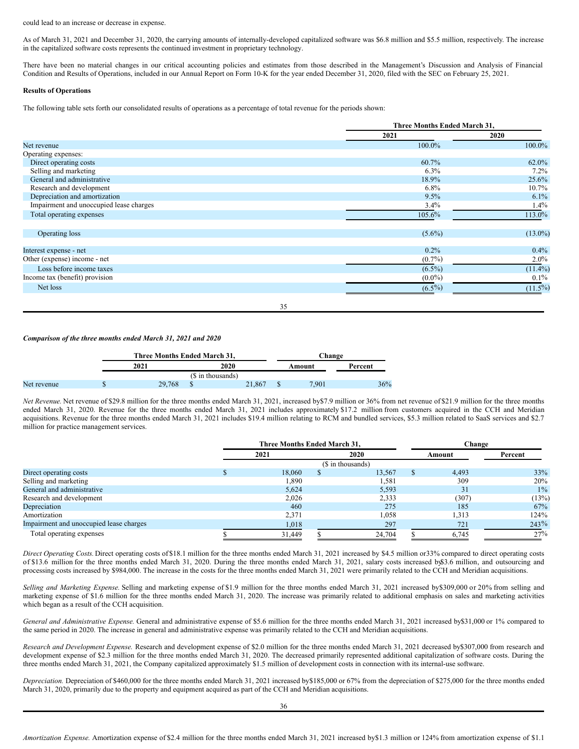could lead to an increase or decrease in expense.

As of March 31, 2021 and December 31, 2020, the carrying amounts of internally-developed capitalized software was \$6.8 million and \$5.5 million, respectively. The increase in the capitalized software costs represents the continued investment in proprietary technology.

There have been no material changes in our critical accounting policies and estimates from those described in the Management's Discussion and Analysis of Financial Condition and Results of Operations, included in our Annual Report on Form 10-K for the year ended December 31, 2020, filed with the SEC on February 25, 2021.

#### **Results of Operations**

The following table sets forth our consolidated results of operations as a percentage of total revenue for the periods shown:

|                                         |           | Three Months Ended March 31, |  |  |  |
|-----------------------------------------|-----------|------------------------------|--|--|--|
|                                         | 2021      | 2020                         |  |  |  |
| Net revenue                             | 100.0%    | 100.0%                       |  |  |  |
| Operating expenses:                     |           |                              |  |  |  |
| Direct operating costs                  | 60.7%     | 62.0%                        |  |  |  |
| Selling and marketing                   | $6.3\%$   | $7.2\%$                      |  |  |  |
| General and administrative              | 18.9%     | 25.6%                        |  |  |  |
| Research and development                | $6.8\%$   | $10.7\%$                     |  |  |  |
| Depreciation and amortization           | $9.5\%$   | 6.1%                         |  |  |  |
| Impairment and unoccupied lease charges | $3.4\%$   | $1.4\%$                      |  |  |  |
| Total operating expenses                | 105.6%    | 113.0%                       |  |  |  |
| Operating loss                          | $(5.6\%)$ | $(13.0\%)$                   |  |  |  |
| Interest expense - net                  | $0.2\%$   | $0.4\%$                      |  |  |  |
| Other (expense) income - net            | $(0.7\%)$ | $2.0\%$                      |  |  |  |
| Loss before income taxes                | $(6.5\%)$ | $(11.4\%)$                   |  |  |  |
| Income tax (benefit) provision          | $(0.0\%)$ | $0.1\%$                      |  |  |  |
| Net loss                                | $(6.5\%)$ | $(11.5\%)$                   |  |  |  |
|                                         | 35        |                              |  |  |  |

*Comparison of the three months ended March 31, 2021 and 2020*

|             |        | Three Months Ended March 31, | Change |        |       |         |     |
|-------------|--------|------------------------------|--------|--------|-------|---------|-----|
|             | 2021   | 2020                         |        | Amount |       | Percent |     |
|             |        | (\$ in thousands)            |        |        |       |         |     |
| Net revenue | 29,768 |                              | 21.867 | ъ      | 7.901 |         | 36% |
|             |        |                              |        |        |       |         |     |

*Net Revenue.* Net revenue of \$29.8 million for the three months ended March 31, 2021, increased by\$7.9 million or 36% from net revenue of \$21.9 million for the three months ended March 31, 2020. Revenue for the three months ended March 31, 2021 includes approximately \$17.2 million from customers acquired in the CCH and Meridian acquisitions. Revenue for the three months ended March 31, 2021 includes \$19.4 million relating to RCM and bundled services, \$5.3 million related to SaaS services and \$2.7 million for practice management services.

|                                         |      | <b>Three Months Ended March 31.</b> |      |                   | Change |       |         |
|-----------------------------------------|------|-------------------------------------|------|-------------------|--------|-------|---------|
|                                         | 2021 |                                     | 2020 |                   | Amount |       | Percent |
|                                         |      |                                     |      | (\$ in thousands) |        |       |         |
| Direct operating costs                  |      | 18.060                              |      | 13,567            |        | 4,493 | 33%     |
| Selling and marketing                   |      | 1,890                               |      | 1,581             |        | 309   | 20%     |
| General and administrative              |      | 5,624                               |      | 5,593             |        | 31    | $1\%$   |
| Research and development                |      | 2,026                               |      | 2,333             |        | (307) | (13%)   |
| Depreciation                            |      | 460                                 |      | 275               |        | 185   | 67%     |
| Amortization                            |      | 2,371                               |      | 1,058             |        | 1,313 | 124%    |
| Impairment and unoccupied lease charges |      | 1,018                               |      | 297               |        | 721   | 243%    |
| Total operating expenses                |      | 31.449                              |      | 24,704            |        | 6,745 | 27%     |

*Direct Operating Costs.*Direct operating costs of \$18.1 million for the three months ended March 31, 2021 increased by \$4.5 million or33% compared to direct operating costs of \$13.6 million for the three months ended March 31, 2020. During the three months ended March 31, 2021, salary costs increased by\$3.6 million, and outsourcing and processing costs increased by \$984,000. The increase in the costs for the three months ended March 31, 2021 were primarily related to the CCH and Meridian acquisitions.

*Selling and Marketing Expense.* Selling and marketing expense of \$1.9 million for the three months ended March 31, 2021 increased by\$309,000 or 20% from selling and marketing expense of \$1.6 million for the three months ended March 31, 2020. The increase was primarily related to additional emphasis on sales and marketing activities which began as a result of the CCH acquisition.

*General and Administrative Expense.* General and administrative expense of \$5.6 million for the three months ended March 31, 2021 increased by\$31,000 or 1% compared to the same period in 2020. The increase in general and administrative expense was primarily related to the CCH and Meridian acquisitions.

*Research and Development Expense.* Research and development expense of \$2.0 million for the three months ended March 31, 2021 decreased by\$307,000 from research and development expense of \$2.3 million for the three months ended March 31, 2020. The decreased primarily represented additional capitalization of software costs. During the three months ended March 31, 2021, the Company capitalized approximately \$1.5 million of development costs in connection with its internal-use software.

*Depreciation.* Depreciation of \$460,000 for the three months ended March 31, 2021 increased by\$185,000 or 67% from the depreciation of \$275,000 for the three months ended March 31, 2020, primarily due to the property and equipment acquired as part of the CCH and Meridian acquisitions.

36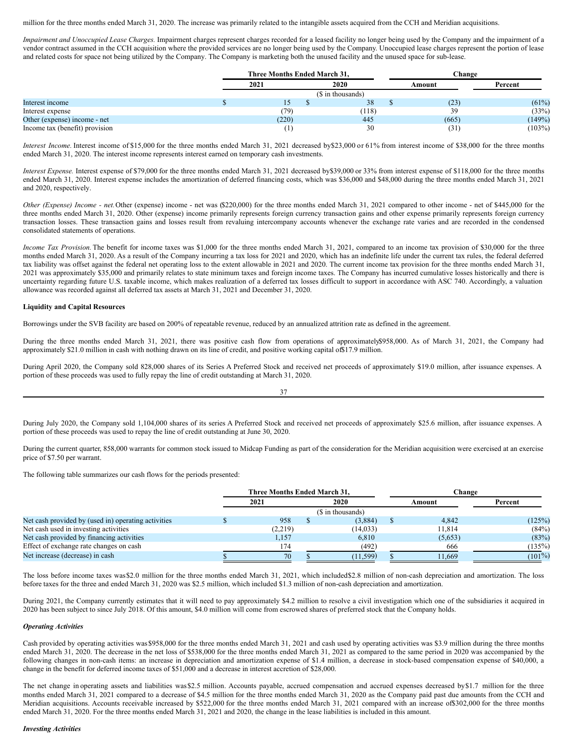#### million for the three months ended March 31, 2020. The increase was primarily related to the intangible assets acquired from the CCH and Meridian acquisitions.

*Impairment and Unoccupied Lease Charges.* Impairment charges represent charges recorded for a leased facility no longer being used by the Company and the impairment of a vendor contract assumed in the CCH acquisition where the provided services are no longer being used by the Company. Unoccupied lease charges represent the portion of lease and related costs for space not being utilized by the Company. The Company is marketing both the unused facility and the unused space for sub-lease.

|                                | Three Months Ended March 31. |  |                   | Change |         |  |
|--------------------------------|------------------------------|--|-------------------|--------|---------|--|
|                                | 2021                         |  | 2020              | Amount | Percent |  |
|                                |                              |  | (\$ in thousands) |        |         |  |
| Interest income                |                              |  | 38                | (23)   | (61%)   |  |
| Interest expense               | (79)                         |  | (118)             | 39     | (33%)   |  |
| Other (expense) income - net   | (220)                        |  | 445               | (665)  | (149%)  |  |
| Income tax (benefit) provision |                              |  | 30                | (31)   | (103%)  |  |

*Interest Income.* Interest income of \$15,000 for the three months ended March 31, 2021 decreased by\$23,000 or 61% from interest income of \$38,000 for the three months ended March 31, 2020. The interest income represents interest earned on temporary cash investments.

*Interest Expense.* Interest expense of \$79,000 for the three months ended March 31, 2021 decreased by\$39,000 or 33% from interest expense of \$118,000 for the three months ended March 31, 2020. Interest expense includes the amortization of deferred financing costs, which was \$36,000 and \$48,000 during the three months ended March 31, 2021 and 2020, respectively.

*Other (Expense) Income - net.* Other (expense) income - net was (\$220,000) for the three months ended March 31, 2021 compared to other income - net of \$445,000 for the three months ended March 31, 2020. Other (expense) income primarily represents foreign currency transaction gains and other expense primarily represents foreign currency transaction losses. These transaction gains and losses result from revaluing intercompany accounts whenever the exchange rate varies and are recorded in the condensed consolidated statements of operations.

*Income Tax Provision*. The benefit for income taxes was \$1,000 for the three months ended March 31, 2021, compared to an income tax provision of \$30,000 for the three months ended March 31, 2020. As a result of the Company incurring a tax loss for 2021 and 2020, which has an indefinite life under the current tax rules, the federal deferred tax liability was offset against the federal net operating loss to the extent allowable in 2021 and 2020. The current income tax provision for the three months ended March 31, 2021 was approximately \$35,000 and primarily relates to state minimum taxes and foreign income taxes. The Company has incurred cumulative losses historically and there is uncertainty regarding future U.S. taxable income, which makes realization of a deferred tax losses difficult to support in accordance with ASC 740. Accordingly, a valuation allowance was recorded against all deferred tax assets at March 31, 2021 and December 31, 2020.

# **Liquidity and Capital Resources**

Borrowings under the SVB facility are based on 200% of repeatable revenue, reduced by an annualized attrition rate as defined in the agreement.

During the three months ended March 31, 2021, there was positive cash flow from operations of approximately\$958,000. As of March 31, 2021, the Company had approximately \$21.0 million in cash with nothing drawn on its line of credit, and positive working capital of\$17.9 million.

During April 2020, the Company sold 828,000 shares of its Series A Preferred Stock and received net proceeds of approximately \$19.0 million, after issuance expenses. A portion of these proceeds was used to fully repay the line of credit outstanding at March 31, 2020.

37

During July 2020, the Company sold 1,104,000 shares of its series A Preferred Stock and received net proceeds of approximately \$25.6 million, after issuance expenses. A portion of these proceeds was used to repay the line of credit outstanding at June 30, 2020.

During the current quarter, 858,000 warrants for common stock issued to Midcap Funding as part of the consideration for the Meridian acquisition were exercised at an exercise price of \$7.50 per warrant.

The following table summarizes our cash flows for the periods presented:

|                                                     | Three Months Ended March 31. |         |  | Change            |         |           |
|-----------------------------------------------------|------------------------------|---------|--|-------------------|---------|-----------|
|                                                     |                              | 2021    |  | 2020              | Amount  | Percent   |
|                                                     |                              |         |  | (\$ in thousands) |         |           |
| Net cash provided by (used in) operating activities |                              | 958     |  | (3,884)           | 4,842   | (125%)    |
| Net cash used in investing activities               |                              | (2,219) |  | (14, 033)         | 11,814  | (84%)     |
| Net cash provided by financing activities           |                              | 1,157   |  | 6,810             | (5,653) | (83%)     |
| Effect of exchange rate changes on cash             |                              | 174     |  | (492)             | 666     | (135%)    |
| Net increase (decrease) in cash                     |                              | 70      |  | (11, 599)         | 11,669  | $(101\%)$ |

The loss before income taxes was\$2.0 million for the three months ended March 31, 2021, which included\$2.8 million of non-cash depreciation and amortization. The loss before taxes for the three and ended March 31, 2020 was \$2.5 million, which included \$1.3 million of non-cash depreciation and amortization.

During 2021, the Company currently estimates that it will need to pay approximately \$4.2 million to resolve a civil investigation which one of the subsidiaries it acquired in 2020 has been subject to since July 2018. Of this amount, \$4.0 million will come from escrowed shares of preferred stock that the Company holds.

#### *Operating Activities*

Cash provided by operating activities was \$958,000 for the three months ended March 31, 2021 and cash used by operating activities was \$3.9 million during the three months ended March 31, 2020. The decrease in the net loss of \$538,000 for the three months ended March 31, 2021 as compared to the same period in 2020 was accompanied by the following changes in non-cash items: an increase in depreciation and amortization expense of \$1.4 million, a decrease in stock-based compensation expense of \$40,000, a change in the benefit for deferred income taxes of \$51,000 and a decrease in interest accretion of \$28,000.

The net change in operating assets and liabilities was\$2.5 million. Accounts payable, accrued compensation and accrued expenses decreased by\$1.7 million for the three months ended March 31, 2021 compared to a decrease of \$4.5 million for the three months ended March 31, 2020 as the Company paid past due amounts from the CCH and Meridian acquisitions. Accounts receivable increased by \$522,000 for the three months ended March 31, 2021 compared with an increase of\$302,000 for the three months ended March 31, 2020. For the three months ended March 31, 2021 and 2020, the change in the lease liabilities is included in this amount.

#### *Investing Activities*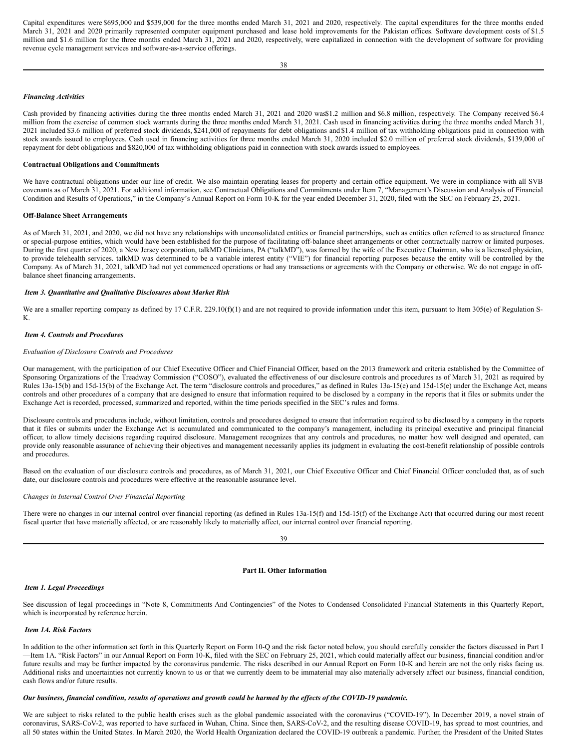Capital expenditures were \$695,000 and \$539,000 for the three months ended March 31, 2021 and 2020, respectively. The capital expenditures for the three months ended March 31, 2021 and 2020 primarily represented computer equipment purchased and lease hold improvements for the Pakistan offices. Software development costs of \$1.5 million and \$1.6 million for the three months ended March 31, 2021 and 2020, respectively, were capitalized in connection with the development of software for providing revenue cycle management services and software-as-a-service offerings.

## *Financing Activities*

Cash provided by financing activities during the three months ended March 31, 2021 and 2020 was\$1.2 million and \$6.8 million, respectively. The Company received \$6.4 million from the exercise of common stock warrants during the three months ended March 31, 2021. Cash used in financing activities during the three months ended March 31, 2021 included \$3.6 million of preferred stock dividends, \$241,000 of repayments for debt obligations and \$1.4 million of tax withholding obligations paid in connection with stock awards issued to employees. Cash used in financing activities for three months ended March 31, 2020 included \$2.0 million of preferred stock dividends, \$139,000 of repayment for debt obligations and \$820,000 of tax withholding obligations paid in connection with stock awards issued to employees.

## **Contractual Obligations and Commitments**

We have contractual obligations under our line of credit. We also maintain operating leases for property and certain office equipment. We were in compliance with all SVB covenants as of March 31, 2021. For additional information, see Contractual Obligations and Commitments under Item 7, "Management's Discussion and Analysis of Financial Condition and Results of Operations," in the Company's Annual Report on Form 10-K for the year ended December 31, 2020, filed with the SEC on February 25, 2021.

# **Off-Balance Sheet Arrangements**

As of March 31, 2021, and 2020, we did not have any relationships with unconsolidated entities or financial partnerships, such as entities often referred to as structured finance or special-purpose entities, which would have been established for the purpose of facilitating off-balance sheet arrangements or other contractually narrow or limited purposes. During the first quarter of 2020, a New Jersey corporation, talkMD Clinicians, PA ("talkMD"), was formed by the wife of the Executive Chairman, who is a licensed physician, to provide telehealth services. talkMD was determined to be a variable interest entity ("VIE") for financial reporting purposes because the entity will be controlled by the Company. As of March 31, 2021, talkMD had not yet commenced operations or had any transactions or agreements with the Company or otherwise. We do not engage in offbalance sheet financing arrangements.

#### <span id="page-21-0"></span>*Item 3. Quantitative and Qualitative Disclosures about Market Risk*

We are a smaller reporting company as defined by 17 C.F.R. 229.10(f)(1) and are not required to provide information under this item, pursuant to Item 305(e) of Regulation S-K.

#### <span id="page-21-1"></span>*Item 4. Controls and Procedures*

#### *Evaluation of Disclosure Controls and Procedures*

Our management, with the participation of our Chief Executive Officer and Chief Financial Officer, based on the 2013 framework and criteria established by the Committee of Sponsoring Organizations of the Treadway Commission ("COSO"), evaluated the effectiveness of our disclosure controls and procedures as of March 31, 2021 as required by Rules 13a-15(b) and 15d-15(b) of the Exchange Act. The term "disclosure controls and procedures," as defined in Rules 13a-15(e) and 15d-15(e) under the Exchange Act, means controls and other procedures of a company that are designed to ensure that information required to be disclosed by a company in the reports that it files or submits under the Exchange Act is recorded, processed, summarized and reported, within the time periods specified in the SEC's rules and forms.

Disclosure controls and procedures include, without limitation, controls and procedures designed to ensure that information required to be disclosed by a company in the reports that it files or submits under the Exchange Act is accumulated and communicated to the company's management, including its principal executive and principal financial officer, to allow timely decisions regarding required disclosure. Management recognizes that any controls and procedures, no matter how well designed and operated, can provide only reasonable assurance of achieving their objectives and management necessarily applies its judgment in evaluating the cost-benefit relationship of possible controls and procedures.

Based on the evaluation of our disclosure controls and procedures, as of March 31, 2021, our Chief Executive Officer and Chief Financial Officer concluded that, as of such date, our disclosure controls and procedures were effective at the reasonable assurance level.

#### *Changes in Internal Control Over Financial Reporting*

There were no changes in our internal control over financial reporting (as defined in Rules 13a-15(f) and 15d-15(f) of the Exchange Act) that occurred during our most recent fiscal quarter that have materially affected, or are reasonably likely to materially affect, our internal control over financial reporting.

39

#### <span id="page-21-2"></span>**Part II. Other Information**

#### <span id="page-21-3"></span>*Item 1. Legal Proceedings*

See discussion of legal proceedings in "Note 8, Commitments And Contingencies" of the Notes to Condensed Consolidated Financial Statements in this Quarterly Report, which is incorporated by reference herein.

#### <span id="page-21-4"></span>*Item 1A. Risk Factors*

In addition to the other information set forth in this Quarterly Report on Form 10-Q and the risk factor noted below, you should carefully consider the factors discussed in Part I —Item 1A. "Risk Factors" in our Annual Report on Form 10-K, filed with the SEC on February 25, 2021, which could materially affect our business, financial condition and/or future results and may be further impacted by the coronavirus pandemic. The risks described in our Annual Report on Form 10-K and herein are not the only risks facing us. Additional risks and uncertainties not currently known to us or that we currently deem to be immaterial may also materially adversely affect our business, financial condition, cash flows and/or future results.

#### Our business, financial condition, results of operations and growth could be harmed by the effects of the COVID-19 pandemic.

We are subject to risks related to the public health crises such as the global pandemic associated with the coronavirus ("COVID-19"). In December 2019, a novel strain of coronavirus, SARS-CoV-2, was reported to have surfaced in Wuhan, China. Since then, SARS-CoV-2, and the resulting disease COVID-19, has spread to most countries, and all 50 states within the United States. In March 2020, the World Health Organization declared the COVID-19 outbreak a pandemic. Further, the President of the United States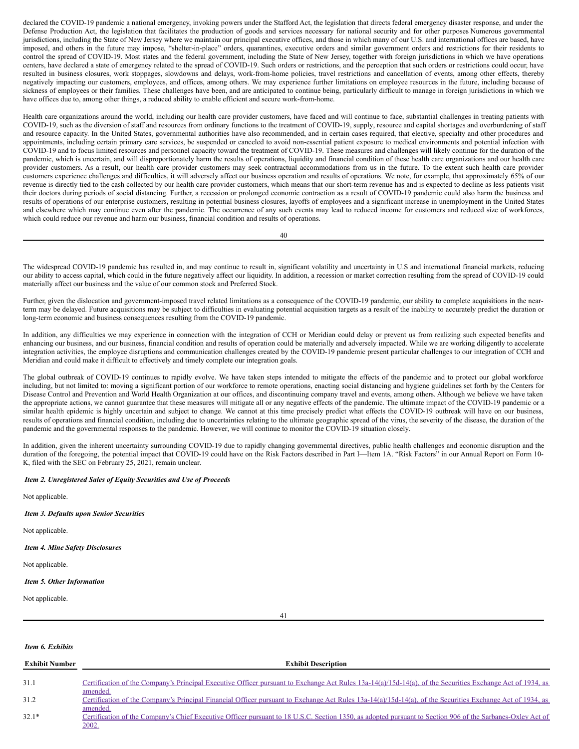declared the COVID-19 pandemic a national emergency, invoking powers under the Stafford Act, the legislation that directs federal emergency disaster response, and under the Defense Production Act, the legislation that facilitates the production of goods and services necessary for national security and for other purposes. Numerous governmental jurisdictions, including the State of New Jersey where we maintain our principal executive offices, and those in which many of our U.S. and international offices are based, have imposed, and others in the future may impose, "shelter-in-place" orders, quarantines, executive orders and similar government orders and restrictions for their residents to control the spread of COVID-19. Most states and the federal government, including the State of New Jersey, together with foreign jurisdictions in which we have operations centers, have declared a state of emergency related to the spread of COVID-19. Such orders or restrictions, and the perception that such orders or restrictions could occur, have resulted in business closures, work stoppages, slowdowns and delays, work-from-home policies, travel restrictions and cancellation of events, among other effects, thereby negatively impacting our customers, employees, and offices, among others. We may experience further limitations on employee resources in the future, including because of sickness of employees or their families. These challenges have been, and are anticipated to continue being, particularly difficult to manage in foreign jurisdictions in which we have offices due to, among other things, a reduced ability to enable efficient and secure work-from-home.

Health care organizations around the world, including our health care provider customers, have faced and will continue to face, substantial challenges in treating patients with COVID-19, such as the diversion of staff and resources from ordinary functions to the treatment of COVID-19, supply, resource and capital shortages and overburdening of staff and resource capacity. In the United States, governmental authorities have also recommended, and in certain cases required, that elective, specialty and other procedures and appointments, including certain primary care services, be suspended or canceled to avoid non-essential patient exposure to medical environments and potential infection with COVID-19 and to focus limited resources and personnel capacity toward the treatment of COVID-19. These measures and challenges will likely continue for the duration of the pandemic, which is uncertain, and will disproportionately harm the results of operations, liquidity and financial condition of these health care organizations and our health care provider customers. As a result, our health care provider customers may seek contractual accommodations from us in the future. To the extent such health care provider customers experience challenges and difficulties, it will adversely affect our business operation and results of operations. We note, for example, that approximately 65% of our revenue is directly tied to the cash collected by our health care provider customers, which means that our short-term revenue has and is expected to decline as less patients visit their doctors during periods of social distancing. Further, a recession or prolonged economic contraction as a result of COVID-19 pandemic could also harm the business and results of operations of our enterprise customers, resulting in potential business closures, layoffs of employees and a significant increase in unemployment in the United States and elsewhere which may continue even after the pandemic. The occurrence of any such events may lead to reduced income for customers and reduced size of workforces, which could reduce our revenue and harm our business, financial condition and results of operations.

40

The widespread COVID-19 pandemic has resulted in, and may continue to result in, significant volatility and uncertainty in U.S and international financial markets, reducing our ability to access capital, which could in the future negatively affect our liquidity. In addition, a recession or market correction resulting from the spread of COVID-19 could materially affect our business and the value of our common stock and Preferred Stock.

Further, given the dislocation and government-imposed travel related limitations as a consequence of the COVID-19 pandemic, our ability to complete acquisitions in the nearterm may be delayed. Future acquisitions may be subject to difficulties in evaluating potential acquisition targets as a result of the inability to accurately predict the duration or long-term economic and business consequences resulting from the COVID-19 pandemic.

In addition, any difficulties we may experience in connection with the integration of CCH or Meridian could delay or prevent us from realizing such expected benefits and enhancing our business, and our business, financial condition and results of operation could be materially and adversely impacted. While we are working diligently to accelerate integration activities, the employee disruptions and communication challenges created by the COVID-19 pandemic present particular challenges to our integration of CCH and Meridian and could make it difficult to effectively and timely complete our integration goals.

The global outbreak of COVID-19 continues to rapidly evolve. We have taken steps intended to mitigate the effects of the pandemic and to protect our global workforce including, but not limited to: moving a significant portion of our workforce to remote operations, enacting social distancing and hygiene guidelines set forth by the Centers for Disease Control and Prevention and World Health Organization at our offices, and discontinuing company travel and events, among others. Although we believe we have taken the appropriate actions, we cannot guarantee that these measures will mitigate all or any negative effects of the pandemic. The ultimate impact of the COVID-19 pandemic or a similar health epidemic is highly uncertain and subject to change. We cannot at this time precisely predict what effects the COVID-19 outbreak will have on our business, results of operations and financial condition, including due to uncertainties relating to the ultimate geographic spread of the virus, the severity of the disease, the duration of the pandemic and the governmental responses to the pandemic. However, we will continue to monitor the COVID-19 situation closely.

In addition, given the inherent uncertainty surrounding COVID-19 due to rapidly changing governmental directives, public health challenges and economic disruption and the duration of the foregoing, the potential impact that COVID-19 could have on the Risk Factors described in Part I—Item 1A. "Risk Factors" in our Annual Report on Form 10-K, filed with the SEC on February 25, 2021, remain unclear.

<span id="page-22-0"></span>*Item 2. Unregistered Sales of Equity Securities and Use of Proceeds*

Not applicable.

<span id="page-22-1"></span>*Item 3. Defaults upon Senior Securities*

Not applicable.

<span id="page-22-2"></span>*Item 4. Mine Safety Disclosures*

Not applicable.

<span id="page-22-3"></span>*Item 5. Other Information*

Not applicable.

41

# <span id="page-22-4"></span>*Item 6. Exhibits*

| <b>Exhibit Number</b> | <b>Exhibit Description</b>                                                                                                                                                      |
|-----------------------|---------------------------------------------------------------------------------------------------------------------------------------------------------------------------------|
| 31.1                  | Certification of the Company's Principal Executive Officer pursuant to Exchange Act Rules 13a-14(a)/15d-14(a), of the Securities Exchange Act of 1934, as                       |
| 31.2                  | amended.<br>Certification of the Company's Principal Financial Officer pursuant to Exchange Act Rules 13a-14(a)/15d-14(a), of the Securities Exchange Act of 1934, as           |
| $32.1*$               | amended.<br>Certification of the Company's Chief Executive Officer pursuant to 18 U.S.C. Section 1350, as adopted pursuant to Section 906 of the Sarbanes-Oxley Act of<br>2002. |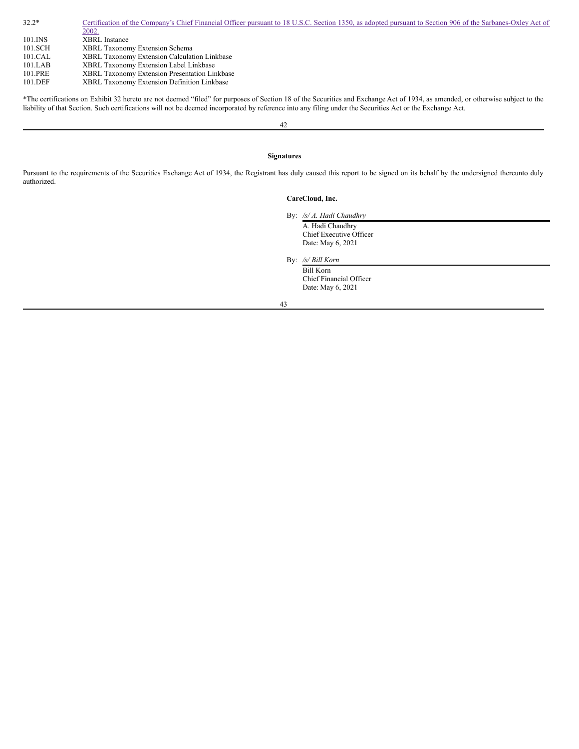| Certification of the Company's Chief Financial Officer pursuant to 18 U.S.C. Section 1350, as adopted pursuant to Section 906 of the Sarbanes-Oxley Act of |
|------------------------------------------------------------------------------------------------------------------------------------------------------------|
| <u> 2002.</u>                                                                                                                                              |
| XBRL Instance                                                                                                                                              |
| <b>XBRL Taxonomy Extension Schema</b>                                                                                                                      |
| XBRL Taxonomy Extension Calculation Linkbase                                                                                                               |
| XBRL Taxonomy Extension Label Linkbase                                                                                                                     |
| XBRL Taxonomy Extension Presentation Linkbase                                                                                                              |
| XBRL Taxonomy Extension Definition Linkbase                                                                                                                |
|                                                                                                                                                            |

\*The certifications on Exhibit 32 hereto are not deemed "filed" for purposes of Section 18 of the Securities and Exchange Act of 1934, as amended, or otherwise subject to the liability of that Section. Such certifications will not be deemed incorporated by reference into any filing under the Securities Act or the Exchange Act.

42

# <span id="page-23-0"></span>**Signatures**

Pursuant to the requirements of the Securities Exchange Act of 1934, the Registrant has duly caused this report to be signed on its behalf by the undersigned thereunto duly authorized.

# **CareCloud, Inc.**

By: */s/ A. Hadi Chaudhry*

A. Hadi Chaudhry Chief Executive Officer Date: May 6, 2021

By: */s/ Bill Korn*

Bill Korn Chief Financial Officer Date: May 6, 2021

43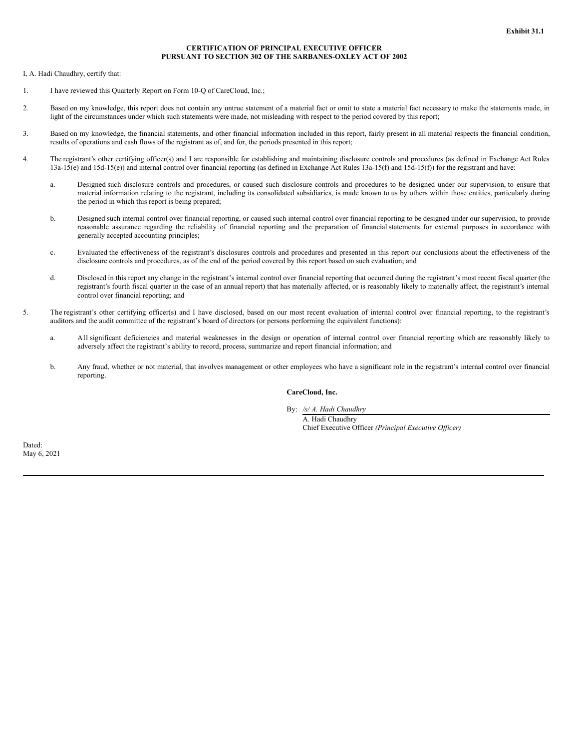# **CERTIFICATION OF PRINCIPAL EXECUTIVE OFFICER PURSUANT TO SECTION 302 OF THE SARBANES-OXLEY ACT OF 2002**

<span id="page-24-0"></span>I, A. Hadi Chaudhry, certify that:

- 1. I have reviewed this Quarterly Report on Form 10-Q of CareCloud, Inc.;
- 2. Based on my knowledge, this report does not contain any untrue statement of a material fact or omit to state a material fact necessary to make the statements made, in light of the circumstances under which such statements were made, not misleading with respect to the period covered by this report;
- 3. Based on my knowledge, the financial statements, and other financial information included in this report, fairly present in all material respects the financial condition, results of operations and cash flows of the registrant as of, and for, the periods presented in this report;
- 4. The registrant's other certifying officer(s) and I are responsible for establishing and maintaining disclosure controls and procedures (as defined in Exchange Act Rules 13a-15(e) and 15d-15(e)) and internal control over financial reporting (as defined in Exchange Act Rules 13a-15(f) and 15d-15(f)) for the registrant and have:
	- a. Designed such disclosure controls and procedures, or caused such disclosure controls and procedures to be designed under our supervision, to ensure that material information relating to the registrant, including its consolidated subsidiaries, is made known to us by others within those entities, particularly during the period in which this report is being prepared;
	- b. Designed such internal control over financial reporting, or caused such internal control over financial reporting to be designed under our supervision, to provide reasonable assurance regarding the reliability of financial reporting and the preparation of financial statements for external purposes in accordance with generally accepted accounting principles;
	- c. Evaluated the effectiveness of the registrant's disclosures controls and procedures and presented in this report our conclusions about the effectiveness of the disclosure controls and procedures, as of the end of the period covered by this report based on such evaluation; and
	- d. Disclosed in this report any change in the registrant's internal control over financial reporting that occurred during the registrant's most recent fiscal quarter (the registrant's fourth fiscal quarter in the case of an annual report) that has materially affected, or is reasonably likely to materially affect, the registrant's internal control over financial reporting; and
- 5. The registrant's other certifying officer(s) and I have disclosed, based on our most recent evaluation of internal control over financial reporting, to the registrant's auditors and the audit committee of the registrant's board of directors (or persons performing the equivalent functions):
	- a. All significant deficiencies and material weaknesses in the design or operation of internal control over financial reporting which are reasonably likely to adversely affect the registrant's ability to record, process, summarize and report financial information; and
	- b. Any fraud, whether or not material, that involves management or other employees who have a significant role in the registrant's internal control over financial reporting.

# **CareCloud, Inc.**

By: */s/ A. Hadi Chaudhry*

A. Hadi Chaudhry Chief Executive Officer *(Principal Executive Of icer)*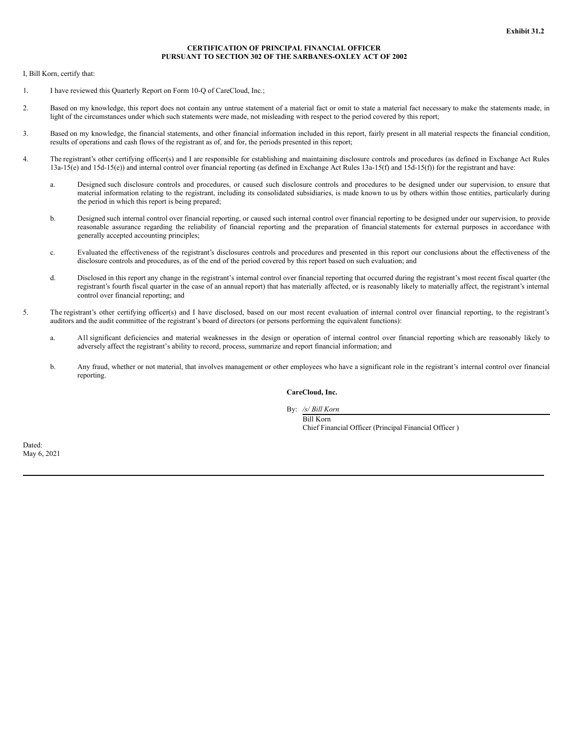# **CERTIFICATION OF PRINCIPAL FINANCIAL OFFICER PURSUANT TO SECTION 302 OF THE SARBANES-OXLEY ACT OF 2002**

<span id="page-25-0"></span>I, Bill Korn, certify that:

- 1. I have reviewed this Quarterly Report on Form 10-Q of CareCloud, Inc.;
- 2. Based on my knowledge, this report does not contain any untrue statement of a material fact or omit to state a material fact necessary to make the statements made, in light of the circumstances under which such statements were made, not misleading with respect to the period covered by this report;
- 3. Based on my knowledge, the financial statements, and other financial information included in this report, fairly present in all material respects the financial condition, results of operations and cash flows of the registrant as of, and for, the periods presented in this report;
- 4. The registrant's other certifying officer(s) and I are responsible for establishing and maintaining disclosure controls and procedures (as defined in Exchange Act Rules 13a-15(e) and 15d-15(e)) and internal control over financial reporting (as defined in Exchange Act Rules 13a-15(f) and 15d-15(f)) for the registrant and have:
	- a. Designed such disclosure controls and procedures, or caused such disclosure controls and procedures to be designed under our supervision, to ensure that material information relating to the registrant, including its consolidated subsidiaries, is made known to us by others within those entities, particularly during the period in which this report is being prepared;
	- b. Designed such internal control over financial reporting, or caused such internal control over financial reporting to be designed under our supervision, to provide reasonable assurance regarding the reliability of financial reporting and the preparation of financial statements for external purposes in accordance with generally accepted accounting principles;
	- c. Evaluated the effectiveness of the registrant's disclosures controls and procedures and presented in this report our conclusions about the effectiveness of the disclosure controls and procedures, as of the end of the period covered by this report based on such evaluation; and
	- d. Disclosed in this report any change in the registrant's internal control over financial reporting that occurred during the registrant's most recent fiscal quarter (the registrant's fourth fiscal quarter in the case of an annual report) that has materially affected, or is reasonably likely to materially affect, the registrant's internal control over financial reporting; and
- 5. The registrant's other certifying officer(s) and I have disclosed, based on our most recent evaluation of internal control over financial reporting, to the registrant's auditors and the audit committee of the registrant's board of directors (or persons performing the equivalent functions):
	- a. All significant deficiencies and material weaknesses in the design or operation of internal control over financial reporting which are reasonably likely to adversely affect the registrant's ability to record, process, summarize and report financial information; and
	- b. Any fraud, whether or not material, that involves management or other employees who have a significant role in the registrant's internal control over financial reporting.

# **CareCloud, Inc.**

By: */s/ Bill Korn*

Bill Korn Chief Financial Officer (Principal Financial Officer )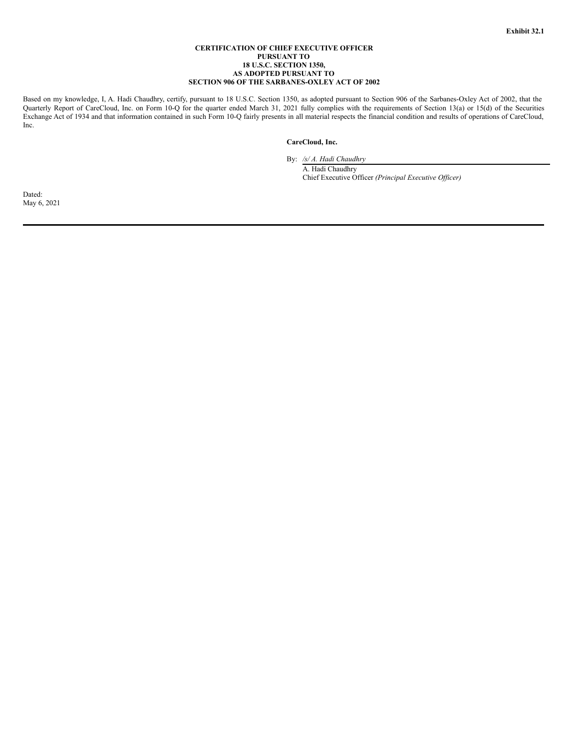## **CERTIFICATION OF CHIEF EXECUTIVE OFFICER PURSUANT TO 18 U.S.C. SECTION 1350, AS ADOPTED PURSUANT TO SECTION 906 OF THE SARBANES-OXLEY ACT OF 2002**

<span id="page-26-0"></span>Based on my knowledge, I, A. Hadi Chaudhry, certify, pursuant to 18 U.S.C. Section 1350, as adopted pursuant to Section 906 of the Sarbanes-Oxley Act of 2002, that the Quarterly Report of CareCloud, Inc. on Form 10-Q for the quarter ended March 31, 2021 fully complies with the requirements of Section 13(a) or 15(d) of the Securities Exchange Act of 1934 and that information contained in such Form 10-Q fairly presents in all material respects the financial condition and results of operations of CareCloud, Inc.

**CareCloud, Inc.**

By: */s/ A. Hadi Chaudhry*

A. Hadi Chaudhry Chief Executive Officer *(Principal Executive Of icer)*